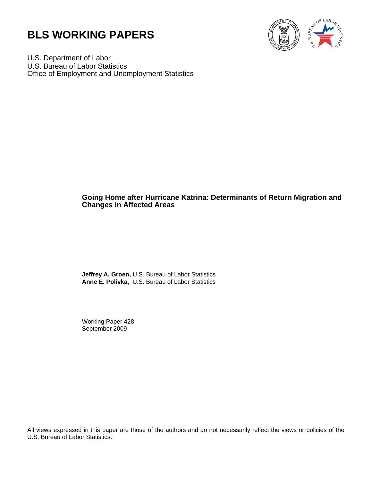



U.S. Department of Labor U.S. Bureau of Labor Statistics Office of Employment and Unemployment Statistics

# **Going Home after Hurricane Katrina: Determinants of Return Migration and Changes in Affected Areas**

**Jeffrey A. Groen,** U.S. Bureau of Labor Statistics **Anne E. Polivka,** U.S. Bureau of Labor Statistics

Working Paper 428 September 2009

All views expressed in this paper are those of the authors and do not necessarily reflect the views or policies of the U.S. Bureau of Labor Statistics.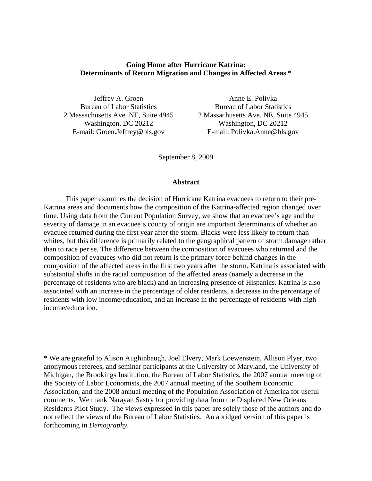# **Going Home after Hurricane Katrina: Determinants of Return Migration and Changes in Affected Areas \***

Jeffrey A. Groen Bureau of Labor Statistics 2 Massachusetts Ave. NE, Suite 4945 Washington, DC 20212 E-mail: Groen.Jeffrey@bls.gov

Anne E. Polivka Bureau of Labor Statistics 2 Massachusetts Ave. NE, Suite 4945 Washington, DC 20212 E-mail: Polivka.Anne@bls.gov

September 8, 2009

# **Abstract**

This paper examines the decision of Hurricane Katrina evacuees to return to their pre-Katrina areas and documents how the composition of the Katrina-affected region changed over time. Using data from the Current Population Survey, we show that an evacuee's age and the severity of damage in an evacuee's county of origin are important determinants of whether an evacuee returned during the first year after the storm. Blacks were less likely to return than whites, but this difference is primarily related to the geographical pattern of storm damage rather than to race per se. The difference between the composition of evacuees who returned and the composition of evacuees who did not return is the primary force behind changes in the composition of the affected areas in the first two years after the storm. Katrina is associated with substantial shifts in the racial composition of the affected areas (namely a decrease in the percentage of residents who are black) and an increasing presence of Hispanics. Katrina is also associated with an increase in the percentage of older residents, a decrease in the percentage of residents with low income/education, and an increase in the percentage of residents with high income/education.

\* We are grateful to Alison Aughinbaugh, Joel Elvery, Mark Loewenstein, Allison Plyer, two anonymous referees, and seminar participants at the University of Maryland, the University of Michigan, the Brookings Institution, the Bureau of Labor Statistics, the 2007 annual meeting of the Society of Labor Economists, the 2007 annual meeting of the Southern Economic Association, and the 2008 annual meeting of the Population Association of America for useful comments. We thank Narayan Sastry for providing data from the Displaced New Orleans Residents Pilot Study. The views expressed in this paper are solely those of the authors and do not reflect the views of the Bureau of Labor Statistics. An abridged version of this paper is forthcoming in *Demography.*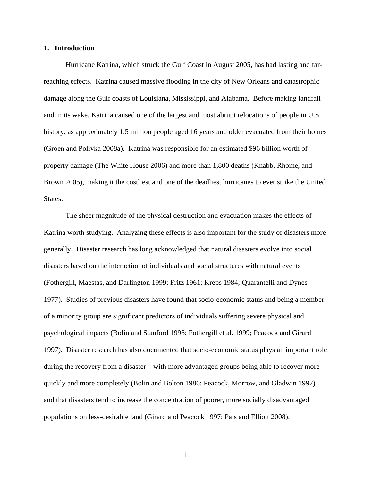# **1. Introduction**

Hurricane Katrina, which struck the Gulf Coast in August 2005, has had lasting and farreaching effects. Katrina caused massive flooding in the city of New Orleans and catastrophic damage along the Gulf coasts of Louisiana, Mississippi, and Alabama. Before making landfall and in its wake, Katrina caused one of the largest and most abrupt relocations of people in U.S. history, as approximately 1.5 million people aged 16 years and older evacuated from their homes (Groen and Polivka 2008a). Katrina was responsible for an estimated \$96 billion worth of property damage (The White House 2006) and more than 1,800 deaths (Knabb, Rhome, and Brown 2005), making it the costliest and one of the deadliest hurricanes to ever strike the United States.

The sheer magnitude of the physical destruction and evacuation makes the effects of Katrina worth studying. Analyzing these effects is also important for the study of disasters more generally. Disaster research has long acknowledged that natural disasters evolve into social disasters based on the interaction of individuals and social structures with natural events (Fothergill, Maestas, and Darlington 1999; Fritz 1961; Kreps 1984; Quarantelli and Dynes 1977). Studies of previous disasters have found that socio-economic status and being a member of a minority group are significant predictors of individuals suffering severe physical and psychological impacts (Bolin and Stanford 1998; Fothergill et al. 1999; Peacock and Girard 1997). Disaster research has also documented that socio-economic status plays an important role during the recovery from a disaster—with more advantaged groups being able to recover more quickly and more completely (Bolin and Bolton 1986; Peacock, Morrow, and Gladwin 1997) and that disasters tend to increase the concentration of poorer, more socially disadvantaged populations on less-desirable land (Girard and Peacock 1997; Pais and Elliott 2008).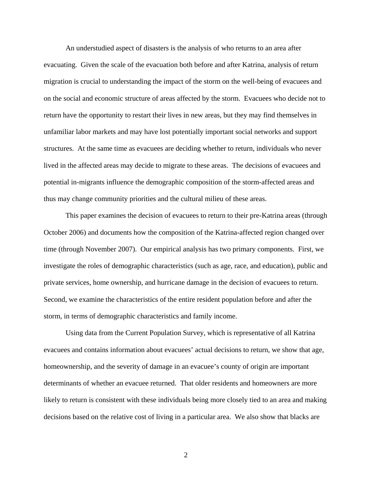An understudied aspect of disasters is the analysis of who returns to an area after evacuating. Given the scale of the evacuation both before and after Katrina, analysis of return migration is crucial to understanding the impact of the storm on the well-being of evacuees and on the social and economic structure of areas affected by the storm. Evacuees who decide not to return have the opportunity to restart their lives in new areas, but they may find themselves in unfamiliar labor markets and may have lost potentially important social networks and support structures. At the same time as evacuees are deciding whether to return, individuals who never lived in the affected areas may decide to migrate to these areas. The decisions of evacuees and potential in-migrants influence the demographic composition of the storm-affected areas and thus may change community priorities and the cultural milieu of these areas.

This paper examines the decision of evacuees to return to their pre-Katrina areas (through October 2006) and documents how the composition of the Katrina-affected region changed over time (through November 2007). Our empirical analysis has two primary components. First, we investigate the roles of demographic characteristics (such as age, race, and education), public and private services, home ownership, and hurricane damage in the decision of evacuees to return. Second, we examine the characteristics of the entire resident population before and after the storm, in terms of demographic characteristics and family income.

Using data from the Current Population Survey, which is representative of all Katrina evacuees and contains information about evacuees' actual decisions to return, we show that age, homeownership, and the severity of damage in an evacuee's county of origin are important determinants of whether an evacuee returned. That older residents and homeowners are more likely to return is consistent with these individuals being more closely tied to an area and making decisions based on the relative cost of living in a particular area. We also show that blacks are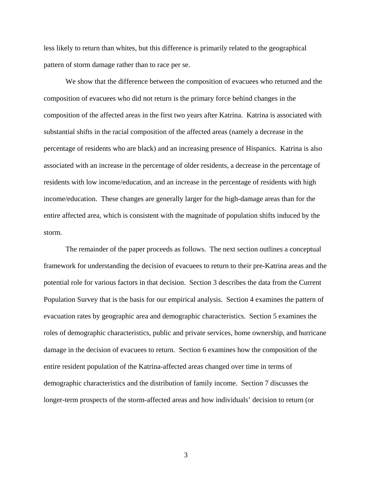less likely to return than whites, but this difference is primarily related to the geographical pattern of storm damage rather than to race per se.

We show that the difference between the composition of evacuees who returned and the composition of evacuees who did not return is the primary force behind changes in the composition of the affected areas in the first two years after Katrina. Katrina is associated with substantial shifts in the racial composition of the affected areas (namely a decrease in the percentage of residents who are black) and an increasing presence of Hispanics. Katrina is also associated with an increase in the percentage of older residents, a decrease in the percentage of residents with low income/education, and an increase in the percentage of residents with high income/education. These changes are generally larger for the high-damage areas than for the entire affected area, which is consistent with the magnitude of population shifts induced by the storm.

The remainder of the paper proceeds as follows. The next section outlines a conceptual framework for understanding the decision of evacuees to return to their pre-Katrina areas and the potential role for various factors in that decision. Section 3 describes the data from the Current Population Survey that is the basis for our empirical analysis. Section 4 examines the pattern of evacuation rates by geographic area and demographic characteristics. Section 5 examines the roles of demographic characteristics, public and private services, home ownership, and hurricane damage in the decision of evacuees to return. Section 6 examines how the composition of the entire resident population of the Katrina-affected areas changed over time in terms of demographic characteristics and the distribution of family income. Section 7 discusses the longer-term prospects of the storm-affected areas and how individuals' decision to return (or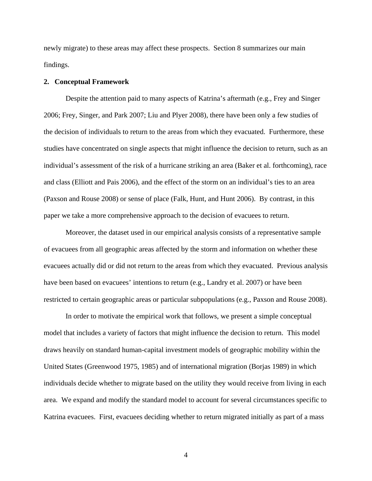newly migrate) to these areas may affect these prospects. Section 8 summarizes our main findings.

# **2. Conceptual Framework**

Despite the attention paid to many aspects of Katrina's aftermath (e.g., Frey and Singer 2006; Frey, Singer, and Park 2007; Liu and Plyer 2008), there have been only a few studies of the decision of individuals to return to the areas from which they evacuated. Furthermore, these studies have concentrated on single aspects that might influence the decision to return, such as an individual's assessment of the risk of a hurricane striking an area (Baker et al. forthcoming), race and class (Elliott and Pais 2006), and the effect of the storm on an individual's ties to an area (Paxson and Rouse 2008) or sense of place (Falk, Hunt, and Hunt 2006). By contrast, in this paper we take a more comprehensive approach to the decision of evacuees to return.

Moreover, the dataset used in our empirical analysis consists of a representative sample of evacuees from all geographic areas affected by the storm and information on whether these evacuees actually did or did not return to the areas from which they evacuated. Previous analysis have been based on evacuees' intentions to return (e.g., Landry et al. 2007) or have been restricted to certain geographic areas or particular subpopulations (e.g., Paxson and Rouse 2008).

In order to motivate the empirical work that follows, we present a simple conceptual model that includes a variety of factors that might influence the decision to return. This model draws heavily on standard human-capital investment models of geographic mobility within the United States (Greenwood 1975, 1985) and of international migration (Borjas 1989) in which individuals decide whether to migrate based on the utility they would receive from living in each area. We expand and modify the standard model to account for several circumstances specific to Katrina evacuees. First, evacuees deciding whether to return migrated initially as part of a mass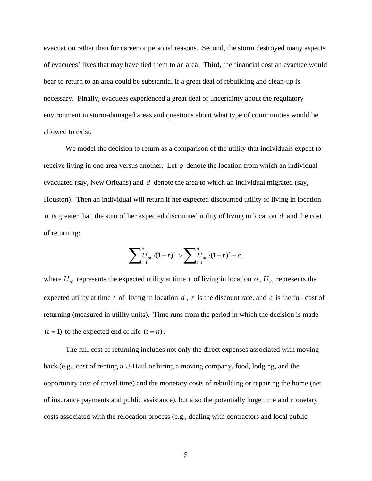evacuation rather than for career or personal reasons. Second, the storm destroyed many aspects of evacuees' lives that may have tied them to an area. Third, the financial cost an evacuee would bear to return to an area could be substantial if a great deal of rebuilding and clean-up is necessary. Finally, evacuees experienced a great deal of uncertainty about the regulatory environment in storm-damaged areas and questions about what type of communities would be allowed to exist.

We model the decision to return as a comparison of the utility that individuals expect to receive living in one area versus another. Let  $\sigma$  denote the location from which an individual evacuated (say, New Orleans) and *d* denote the area to which an individual migrated (say, Houston). Then an individual will return if her expected discounted utility of living in location *o* is greater than the sum of her expected discounted utility of living in location *d* and the cost of returning:

$$
\sum\nolimits_{t=1}^n U_{ot} / (1+r)^t > \sum\nolimits_{t=1}^n U_{dt} / (1+r)^t + c \,,
$$

where  $U_{at}$  represents the expected utility at time t of living in location  $o$ ,  $U_{at}$  represents the expected utility at time *t* of living in location *d* , *r* is the discount rate, and *c* is the full cost of returning (measured in utility units). Time runs from the period in which the decision is made  $(t = 1)$  to the expected end of life  $(t = n)$ .

The full cost of returning includes not only the direct expenses associated with moving back (e.g., cost of renting a U-Haul or hiring a moving company, food, lodging, and the opportunity cost of travel time) and the monetary costs of rebuilding or repairing the home (net of insurance payments and public assistance), but also the potentially huge time and monetary costs associated with the relocation process (e.g., dealing with contractors and local public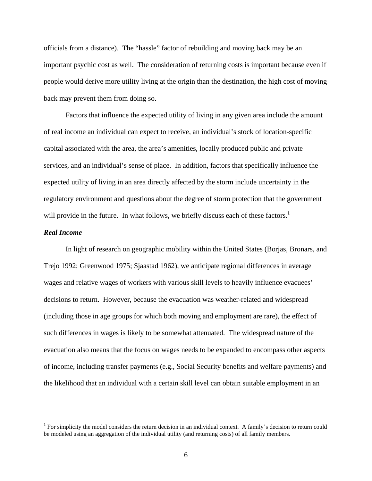officials from a distance). The "hassle" factor of rebuilding and moving back may be an important psychic cost as well. The consideration of returning costs is important because even if people would derive more utility living at the origin than the destination, the high cost of moving back may prevent them from doing so.

Factors that influence the expected utility of living in any given area include the amount of real income an individual can expect to receive, an individual's stock of location-specific capital associated with the area, the area's amenities, locally produced public and private services, and an individual's sense of place. In addition, factors that specifically influence the expected utility of living in an area directly affected by the storm include uncertainty in the regulatory environment and questions about the degree of storm protection that the government will provide in the future. In what follows, we briefly discuss each of these factors.<sup>1</sup>

# *Real Income*

 $\overline{a}$ 

In light of research on geographic mobility within the United States (Borjas, Bronars, and Trejo 1992; Greenwood 1975; Sjaastad 1962), we anticipate regional differences in average wages and relative wages of workers with various skill levels to heavily influence evacuees' decisions to return. However, because the evacuation was weather-related and widespread (including those in age groups for which both moving and employment are rare), the effect of such differences in wages is likely to be somewhat attenuated. The widespread nature of the evacuation also means that the focus on wages needs to be expanded to encompass other aspects of income, including transfer payments (e.g., Social Security benefits and welfare payments) and the likelihood that an individual with a certain skill level can obtain suitable employment in an

<sup>&</sup>lt;sup>1</sup> For simplicity the model considers the return decision in an individual context. A family's decision to return could be modeled using an aggregation of the individual utility (and returning costs) of all family members.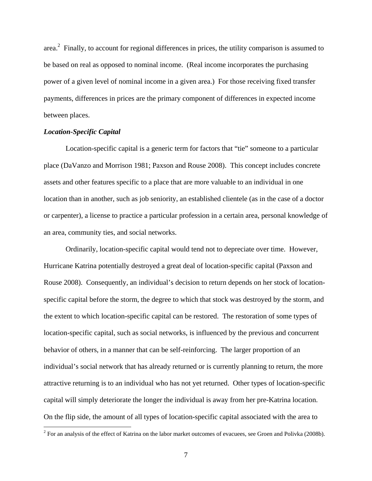area.<sup>2</sup> Finally, to account for regional differences in prices, the utility comparison is assumed to be based on real as opposed to nominal income. (Real income incorporates the purchasing power of a given level of nominal income in a given area.) For those receiving fixed transfer payments, differences in prices are the primary component of differences in expected income between places.

# *Location-Specific Capital*

Location-specific capital is a generic term for factors that "tie" someone to a particular place (DaVanzo and Morrison 1981; Paxson and Rouse 2008). This concept includes concrete assets and other features specific to a place that are more valuable to an individual in one location than in another, such as job seniority, an established clientele (as in the case of a doctor or carpenter), a license to practice a particular profession in a certain area, personal knowledge of an area, community ties, and social networks.

Ordinarily, location-specific capital would tend not to depreciate over time. However, Hurricane Katrina potentially destroyed a great deal of location-specific capital (Paxson and Rouse 2008). Consequently, an individual's decision to return depends on her stock of locationspecific capital before the storm, the degree to which that stock was destroyed by the storm, and the extent to which location-specific capital can be restored. The restoration of some types of location-specific capital, such as social networks, is influenced by the previous and concurrent behavior of others, in a manner that can be self-reinforcing. The larger proportion of an individual's social network that has already returned or is currently planning to return, the more attractive returning is to an individual who has not yet returned. Other types of location-specific capital will simply deteriorate the longer the individual is away from her pre-Katrina location. On the flip side, the amount of all types of location-specific capital associated with the area to

<sup>&</sup>lt;sup>2</sup> For an analysis of the effect of Katrina on the labor market outcomes of evacuees, see Groen and Polivka (2008b).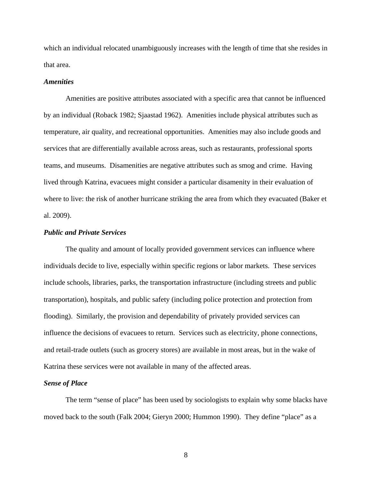which an individual relocated unambiguously increases with the length of time that she resides in that area.

#### *Amenities*

Amenities are positive attributes associated with a specific area that cannot be influenced by an individual (Roback 1982; Sjaastad 1962). Amenities include physical attributes such as temperature, air quality, and recreational opportunities. Amenities may also include goods and services that are differentially available across areas, such as restaurants, professional sports teams, and museums. Disamenities are negative attributes such as smog and crime. Having lived through Katrina, evacuees might consider a particular disamenity in their evaluation of where to live: the risk of another hurricane striking the area from which they evacuated (Baker et al. 2009).

# *Public and Private Services*

The quality and amount of locally provided government services can influence where individuals decide to live, especially within specific regions or labor markets. These services include schools, libraries, parks, the transportation infrastructure (including streets and public transportation), hospitals, and public safety (including police protection and protection from flooding). Similarly, the provision and dependability of privately provided services can influence the decisions of evacuees to return. Services such as electricity, phone connections, and retail-trade outlets (such as grocery stores) are available in most areas, but in the wake of Katrina these services were not available in many of the affected areas.

## *Sense of Place*

The term "sense of place" has been used by sociologists to explain why some blacks have moved back to the south (Falk 2004; Gieryn 2000; Hummon 1990). They define "place" as a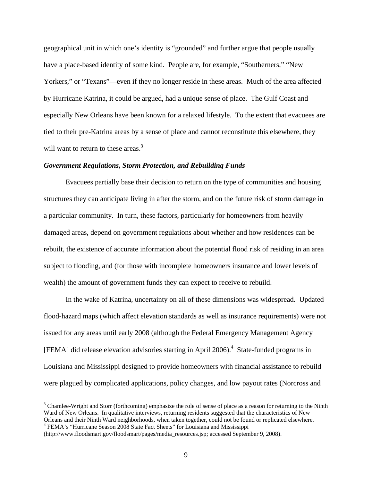geographical unit in which one's identity is "grounded" and further argue that people usually have a place-based identity of some kind. People are, for example, "Southerners," "New Yorkers," or "Texans"—even if they no longer reside in these areas. Much of the area affected by Hurricane Katrina, it could be argued, had a unique sense of place. The Gulf Coast and especially New Orleans have been known for a relaxed lifestyle. To the extent that evacuees are tied to their pre-Katrina areas by a sense of place and cannot reconstitute this elsewhere, they will want to return to these areas.<sup>3</sup>

# *Government Regulations, Storm Protection, and Rebuilding Funds*

Evacuees partially base their decision to return on the type of communities and housing structures they can anticipate living in after the storm, and on the future risk of storm damage in a particular community. In turn, these factors, particularly for homeowners from heavily damaged areas, depend on government regulations about whether and how residences can be rebuilt, the existence of accurate information about the potential flood risk of residing in an area subject to flooding, and (for those with incomplete homeowners insurance and lower levels of wealth) the amount of government funds they can expect to receive to rebuild.

In the wake of Katrina, uncertainty on all of these dimensions was widespread. Updated flood-hazard maps (which affect elevation standards as well as insurance requirements) were not issued for any areas until early 2008 (although the Federal Emergency Management Agency [FEMA] did release elevation advisories starting in April 2006).<sup>4</sup> State-funded programs in Louisiana and Mississippi designed to provide homeowners with financial assistance to rebuild were plagued by complicated applications, policy changes, and low payout rates (Norcross and

 $3$  Chamlee-Wright and Storr (forthcoming) emphasize the role of sense of place as a reason for returning to the Ninth Ward of New Orleans. In qualitative interviews, returning residents suggested that the characteristics of New Orleans and their Ninth Ward neighborhoods, when taken together, could not be found or replicated elsewhere. <sup>4</sup> FEMA's "Hurricane Season 2008 State Fact Sheets" for Louisiana and Mississippi

<sup>(</sup>http://www.floodsmart.gov/floodsmart/pages/media\_resources.jsp; accessed September 9, 2008).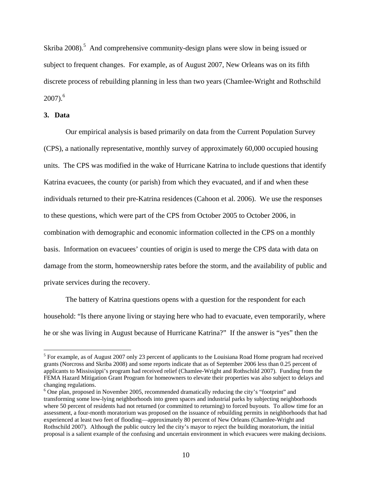Skriba 2008).<sup>5</sup> And comprehensive community-design plans were slow in being issued or subject to frequent changes. For example, as of August 2007, New Orleans was on its fifth discrete process of rebuilding planning in less than two years (Chamlee-Wright and Rothschild  $2007$ ).<sup>6</sup>

# **3. Data**

1

 Our empirical analysis is based primarily on data from the Current Population Survey (CPS), a nationally representative, monthly survey of approximately 60,000 occupied housing units. The CPS was modified in the wake of Hurricane Katrina to include questions that identify Katrina evacuees, the county (or parish) from which they evacuated, and if and when these individuals returned to their pre-Katrina residences (Cahoon et al. 2006). We use the responses to these questions, which were part of the CPS from October 2005 to October 2006, in combination with demographic and economic information collected in the CPS on a monthly basis. Information on evacuees' counties of origin is used to merge the CPS data with data on damage from the storm, homeownership rates before the storm, and the availability of public and private services during the recovery.

The battery of Katrina questions opens with a question for the respondent for each household: "Is there anyone living or staying here who had to evacuate, even temporarily, where he or she was living in August because of Hurricane Katrina?" If the answer is "yes" then the

<sup>&</sup>lt;sup>5</sup> For example, as of August 2007 only 23 percent of applicants to the Louisiana Road Home program had received grants (Norcross and Skriba 2008) and some reports indicate that as of September 2006 less than 0.25 percent of applicants to Mississippi's program had received relief (Chamlee-Wright and Rothschild 2007). Funding from the FEMA Hazard Mitigation Grant Program for homeowners to elevate their properties was also subject to delays and changing regulations.

<sup>&</sup>lt;sup>6</sup> One plan, proposed in November 2005, recommended dramatically reducing the city's "footprint" and transforming some low-lying neighborhoods into green spaces and industrial parks by subjecting neighborhoods where 50 percent of residents had not returned (or committed to returning) to forced buyouts. To allow time for an assessment, a four-month moratorium was proposed on the issuance of rebuilding permits in neighborhoods that had experienced at least two feet of flooding—approximately 80 percent of New Orleans (Chamlee-Wright and Rothschild 2007). Although the public outcry led the city's mayor to reject the building moratorium, the initial proposal is a salient example of the confusing and uncertain environment in which evacuees were making decisions.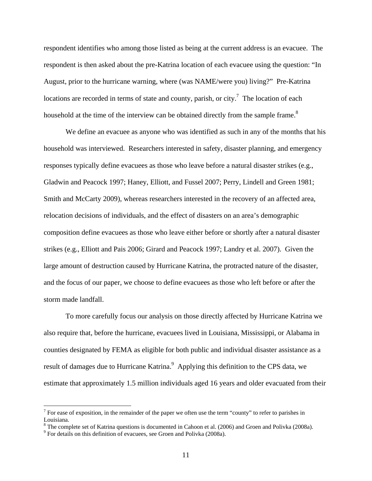respondent identifies who among those listed as being at the current address is an evacuee. The respondent is then asked about the pre-Katrina location of each evacuee using the question: "In August, prior to the hurricane warning, where (was NAME/were you) living?" Pre-Katrina locations are recorded in terms of state and county, parish, or city.<sup>7</sup> The location of each household at the time of the interview can be obtained directly from the sample frame.<sup>8</sup>

We define an evacuee as anyone who was identified as such in any of the months that his household was interviewed. Researchers interested in safety, disaster planning, and emergency responses typically define evacuees as those who leave before a natural disaster strikes (e.g., Gladwin and Peacock 1997; Haney, Elliott, and Fussel 2007; Perry, Lindell and Green 1981; Smith and McCarty 2009), whereas researchers interested in the recovery of an affected area, relocation decisions of individuals, and the effect of disasters on an area's demographic composition define evacuees as those who leave either before or shortly after a natural disaster strikes (e.g., Elliott and Pais 2006; Girard and Peacock 1997; Landry et al. 2007). Given the large amount of destruction caused by Hurricane Katrina, the protracted nature of the disaster, and the focus of our paper, we choose to define evacuees as those who left before or after the storm made landfall.

To more carefully focus our analysis on those directly affected by Hurricane Katrina we also require that, before the hurricane, evacuees lived in Louisiana, Mississippi, or Alabama in counties designated by FEMA as eligible for both public and individual disaster assistance as a result of damages due to Hurricane Katrina.<sup>9</sup> Applying this definition to the CPS data, we estimate that approximately 1.5 million individuals aged 16 years and older evacuated from their

<sup>&</sup>lt;sup>7</sup> For ease of exposition, in the remainder of the paper we often use the term "county" to refer to parishes in Louisiana.

 $8$  The complete set of Katrina questions is documented in Cahoon et al. (2006) and Groen and Polivka (2008a).

<sup>&</sup>lt;sup>9</sup> For details on this definition of evacuees, see Groen and Polivka (2008a).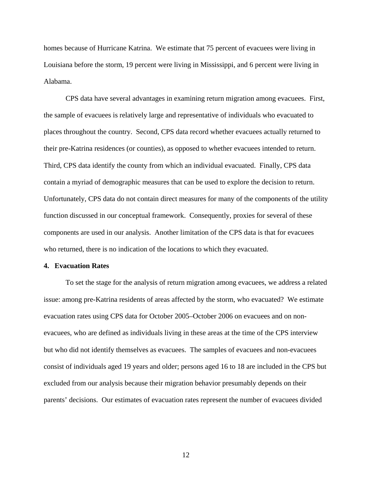homes because of Hurricane Katrina. We estimate that 75 percent of evacuees were living in Louisiana before the storm, 19 percent were living in Mississippi, and 6 percent were living in Alabama.

CPS data have several advantages in examining return migration among evacuees. First, the sample of evacuees is relatively large and representative of individuals who evacuated to places throughout the country. Second, CPS data record whether evacuees actually returned to their pre-Katrina residences (or counties), as opposed to whether evacuees intended to return. Third, CPS data identify the county from which an individual evacuated. Finally, CPS data contain a myriad of demographic measures that can be used to explore the decision to return. Unfortunately, CPS data do not contain direct measures for many of the components of the utility function discussed in our conceptual framework. Consequently, proxies for several of these components are used in our analysis. Another limitation of the CPS data is that for evacuees who returned, there is no indication of the locations to which they evacuated.

#### **4. Evacuation Rates**

To set the stage for the analysis of return migration among evacuees, we address a related issue: among pre-Katrina residents of areas affected by the storm, who evacuated? We estimate evacuation rates using CPS data for October 2005–October 2006 on evacuees and on nonevacuees, who are defined as individuals living in these areas at the time of the CPS interview but who did not identify themselves as evacuees. The samples of evacuees and non-evacuees consist of individuals aged 19 years and older; persons aged 16 to 18 are included in the CPS but excluded from our analysis because their migration behavior presumably depends on their parents' decisions. Our estimates of evacuation rates represent the number of evacuees divided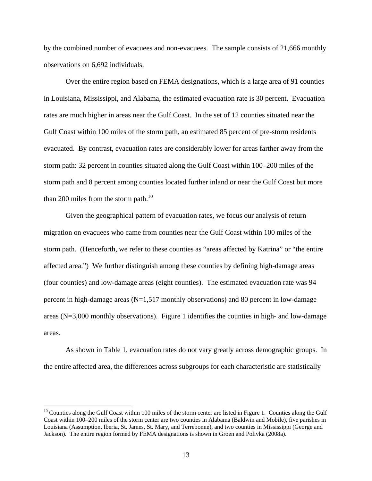by the combined number of evacuees and non-evacuees. The sample consists of 21,666 monthly observations on 6,692 individuals.

Over the entire region based on FEMA designations, which is a large area of 91 counties in Louisiana, Mississippi, and Alabama, the estimated evacuation rate is 30 percent. Evacuation rates are much higher in areas near the Gulf Coast. In the set of 12 counties situated near the Gulf Coast within 100 miles of the storm path, an estimated 85 percent of pre-storm residents evacuated. By contrast, evacuation rates are considerably lower for areas farther away from the storm path: 32 percent in counties situated along the Gulf Coast within 100–200 miles of the storm path and 8 percent among counties located further inland or near the Gulf Coast but more than 200 miles from the storm path. $^{10}$ 

Given the geographical pattern of evacuation rates, we focus our analysis of return migration on evacuees who came from counties near the Gulf Coast within 100 miles of the storm path. (Henceforth, we refer to these counties as "areas affected by Katrina" or "the entire affected area.") We further distinguish among these counties by defining high-damage areas (four counties) and low-damage areas (eight counties). The estimated evacuation rate was 94 percent in high-damage areas (N=1,517 monthly observations) and 80 percent in low-damage areas ( $N=3,000$  monthly observations). Figure 1 identifies the counties in high- and low-damage areas.

As shown in Table 1, evacuation rates do not vary greatly across demographic groups. In the entire affected area, the differences across subgroups for each characteristic are statistically

 $10$  Counties along the Gulf Coast within 100 miles of the storm center are listed in Figure 1. Counties along the Gulf Coast within 100–200 miles of the storm center are two counties in Alabama (Baldwin and Mobile), five parishes in Louisiana (Assumption, Iberia, St. James, St. Mary, and Terrebonne), and two counties in Mississippi (George and Jackson). The entire region formed by FEMA designations is shown in Groen and Polivka (2008a).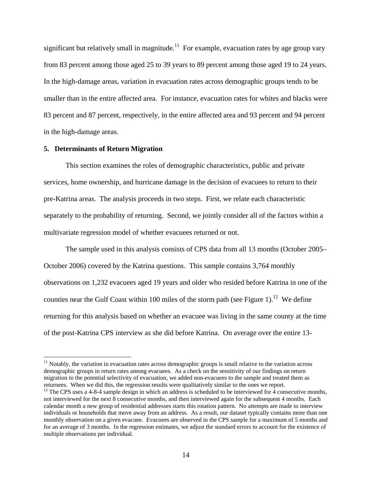significant but relatively small in magnitude.<sup>11</sup> For example, evacuation rates by age group vary from 83 percent among those aged 25 to 39 years to 89 percent among those aged 19 to 24 years. In the high-damage areas, variation in evacuation rates across demographic groups tends to be smaller than in the entire affected area. For instance, evacuation rates for whites and blacks were 83 percent and 87 percent, respectively, in the entire affected area and 93 percent and 94 percent in the high-damage areas.

## **5. Determinants of Return Migration**

1

This section examines the roles of demographic characteristics, public and private services, home ownership, and hurricane damage in the decision of evacuees to return to their pre-Katrina areas. The analysis proceeds in two steps. First, we relate each characteristic separately to the probability of returning. Second, we jointly consider all of the factors within a multivariate regression model of whether evacuees returned or not.

The sample used in this analysis consists of CPS data from all 13 months (October 2005– October 2006) covered by the Katrina questions. This sample contains 3,764 monthly observations on 1,232 evacuees aged 19 years and older who resided before Katrina in one of the counties near the Gulf Coast within 100 miles of the storm path (see Figure 1).<sup>12</sup> We define returning for this analysis based on whether an evacuee was living in the same county at the time of the post-Katrina CPS interview as she did before Katrina. On average over the entire 13-

 $11$  Notably, the variation in evacuation rates across demographic groups is small relative to the variation across demographic groups in return rates among evacuees. As a check on the sensitivity of our findings on return migration to the potential selectivity of evacuation, we added non-evacuees to the sample and treated them as returnees. When we did this, the regression results were qualitatively similar to the ones we report.<br><sup>12</sup> The CPS uses a 4-8-4 sample design in which an address is scheduled to be interviewed for 4 consecutive months,

not interviewed for the next 8 consecutive months, and then interviewed again for the subsequent 4 months. Each calendar month a new group of residential addresses starts this rotation pattern. No attempts are made to interview individuals or households that move away from an address. As a result, our dataset typically contains more than one monthly observation on a given evacuee. Evacuees are observed in the CPS sample for a maximum of 5 months and for an average of 3 months. In the regression estimates, we adjust the standard errors to account for the existence of multiple observations per individual.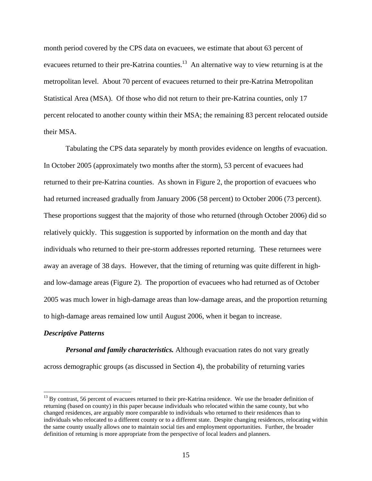month period covered by the CPS data on evacuees, we estimate that about 63 percent of evacuees returned to their pre-Katrina counties.<sup>13</sup> An alternative way to view returning is at the metropolitan level. About 70 percent of evacuees returned to their pre-Katrina Metropolitan Statistical Area (MSA). Of those who did not return to their pre-Katrina counties, only 17 percent relocated to another county within their MSA; the remaining 83 percent relocated outside their MSA.

Tabulating the CPS data separately by month provides evidence on lengths of evacuation. In October 2005 (approximately two months after the storm), 53 percent of evacuees had returned to their pre-Katrina counties. As shown in Figure 2, the proportion of evacuees who had returned increased gradually from January 2006 (58 percent) to October 2006 (73 percent). These proportions suggest that the majority of those who returned (through October 2006) did so relatively quickly. This suggestion is supported by information on the month and day that individuals who returned to their pre-storm addresses reported returning. These returnees were away an average of 38 days. However, that the timing of returning was quite different in highand low-damage areas (Figure 2). The proportion of evacuees who had returned as of October 2005 was much lower in high-damage areas than low-damage areas, and the proportion returning to high-damage areas remained low until August 2006, when it began to increase.

## *Descriptive Patterns*

 $\overline{a}$ 

*Personal and family characteristics.* Although evacuation rates do not vary greatly across demographic groups (as discussed in Section 4), the probability of returning varies

 $^{13}$  By contrast, 56 percent of evacuees returned to their pre-Katrina residence. We use the broader definition of returning (based on county) in this paper because individuals who relocated within the same county, but who changed residences, are arguably more comparable to individuals who returned to their residences than to individuals who relocated to a different county or to a different state. Despite changing residences, relocating within the same county usually allows one to maintain social ties and employment opportunities. Further, the broader definition of returning is more appropriate from the perspective of local leaders and planners.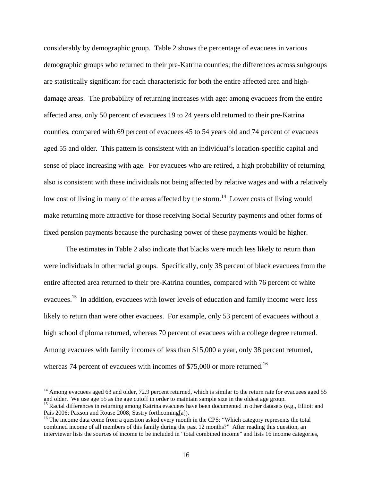considerably by demographic group. Table 2 shows the percentage of evacuees in various demographic groups who returned to their pre-Katrina counties; the differences across subgroups are statistically significant for each characteristic for both the entire affected area and highdamage areas. The probability of returning increases with age: among evacuees from the entire affected area, only 50 percent of evacuees 19 to 24 years old returned to their pre-Katrina counties, compared with 69 percent of evacuees 45 to 54 years old and 74 percent of evacuees aged 55 and older. This pattern is consistent with an individual's location-specific capital and sense of place increasing with age. For evacuees who are retired, a high probability of returning also is consistent with these individuals not being affected by relative wages and with a relatively low cost of living in many of the areas affected by the storm.<sup>14</sup> Lower costs of living would make returning more attractive for those receiving Social Security payments and other forms of fixed pension payments because the purchasing power of these payments would be higher.

The estimates in Table 2 also indicate that blacks were much less likely to return than were individuals in other racial groups. Specifically, only 38 percent of black evacuees from the entire affected area returned to their pre-Katrina counties, compared with 76 percent of white evacuees.15 In addition, evacuees with lower levels of education and family income were less likely to return than were other evacuees. For example, only 53 percent of evacuees without a high school diploma returned, whereas 70 percent of evacuees with a college degree returned. Among evacuees with family incomes of less than \$15,000 a year, only 38 percent returned, whereas 74 percent of evacuees with incomes of \$75,000 or more returned.<sup>16</sup>

<sup>&</sup>lt;sup>14</sup> Among evacuees aged 63 and older, 72.9 percent returned, which is similar to the return rate for evacuees aged 55 and older. We use age 55 as the age cutoff in order to maintain sample size in the oldest age group.

<sup>&</sup>lt;sup>15</sup> Racial differences in returning among Katrina evacuees have been documented in other datasets (e.g., Elliott and Pais 2006; Paxson and Rouse 2008; Sastry forthcoming[a]).

<sup>&</sup>lt;sup>16</sup> The income data come from a question asked every month in the CPS: "Which category represents the total combined income of all members of this family during the past 12 months?" After reading this question, an interviewer lists the sources of income to be included in "total combined income" and lists 16 income categories,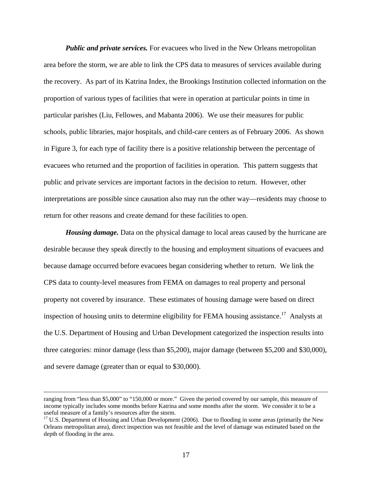*Public and private services.* For evacuees who lived in the New Orleans metropolitan area before the storm, we are able to link the CPS data to measures of services available during the recovery. As part of its Katrina Index, the Brookings Institution collected information on the proportion of various types of facilities that were in operation at particular points in time in particular parishes (Liu, Fellowes, and Mabanta 2006). We use their measures for public schools, public libraries, major hospitals, and child-care centers as of February 2006. As shown in Figure 3, for each type of facility there is a positive relationship between the percentage of evacuees who returned and the proportion of facilities in operation. This pattern suggests that public and private services are important factors in the decision to return. However, other interpretations are possible since causation also may run the other way—residents may choose to return for other reasons and create demand for these facilities to open.

*Housing damage.* Data on the physical damage to local areas caused by the hurricane are desirable because they speak directly to the housing and employment situations of evacuees and because damage occurred before evacuees began considering whether to return. We link the CPS data to county-level measures from FEMA on damages to real property and personal property not covered by insurance. These estimates of housing damage were based on direct inspection of housing units to determine eligibility for FEMA housing assistance.<sup>17</sup> Analysts at the U.S. Department of Housing and Urban Development categorized the inspection results into three categories: minor damage (less than \$5,200), major damage (between \$5,200 and \$30,000), and severe damage (greater than or equal to \$30,000).

ranging from "less than \$5,000" to "150,000 or more." Given the period covered by our sample, this measure of income typically includes some months before Katrina and some months after the storm. We consider it to be a useful measure of a family's resources after the storm.

 $17$  U.S. Department of Housing and Urban Development (2006). Due to flooding in some areas (primarily the New Orleans metropolitan area), direct inspection was not feasible and the level of damage was estimated based on the depth of flooding in the area.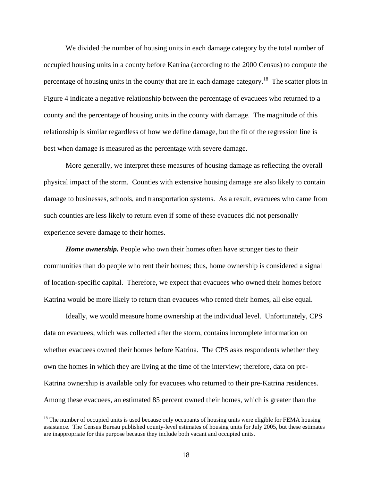We divided the number of housing units in each damage category by the total number of occupied housing units in a county before Katrina (according to the 2000 Census) to compute the percentage of housing units in the county that are in each damage category.<sup>18</sup> The scatter plots in Figure 4 indicate a negative relationship between the percentage of evacuees who returned to a county and the percentage of housing units in the county with damage. The magnitude of this relationship is similar regardless of how we define damage, but the fit of the regression line is best when damage is measured as the percentage with severe damage.

More generally, we interpret these measures of housing damage as reflecting the overall physical impact of the storm. Counties with extensive housing damage are also likely to contain damage to businesses, schools, and transportation systems. As a result, evacuees who came from such counties are less likely to return even if some of these evacuees did not personally experience severe damage to their homes.

*Home ownership.* People who own their homes often have stronger ties to their communities than do people who rent their homes; thus, home ownership is considered a signal of location-specific capital. Therefore, we expect that evacuees who owned their homes before Katrina would be more likely to return than evacuees who rented their homes, all else equal.

 Ideally, we would measure home ownership at the individual level. Unfortunately, CPS data on evacuees, which was collected after the storm, contains incomplete information on whether evacuees owned their homes before Katrina. The CPS asks respondents whether they own the homes in which they are living at the time of the interview; therefore, data on pre-Katrina ownership is available only for evacuees who returned to their pre-Katrina residences. Among these evacuees, an estimated 85 percent owned their homes, which is greater than the

<sup>&</sup>lt;sup>18</sup> The number of occupied units is used because only occupants of housing units were eligible for FEMA housing assistance. The Census Bureau published county-level estimates of housing units for July 2005, but these estimates are inappropriate for this purpose because they include both vacant and occupied units.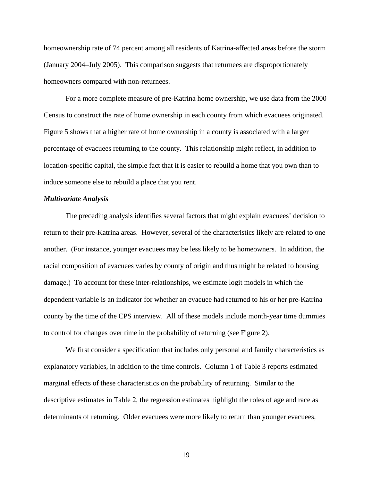homeownership rate of 74 percent among all residents of Katrina-affected areas before the storm (January 2004–July 2005). This comparison suggests that returnees are disproportionately homeowners compared with non-returnees.

 For a more complete measure of pre-Katrina home ownership, we use data from the 2000 Census to construct the rate of home ownership in each county from which evacuees originated. Figure 5 shows that a higher rate of home ownership in a county is associated with a larger percentage of evacuees returning to the county. This relationship might reflect, in addition to location-specific capital, the simple fact that it is easier to rebuild a home that you own than to induce someone else to rebuild a place that you rent.

# *Multivariate Analysis*

The preceding analysis identifies several factors that might explain evacuees' decision to return to their pre-Katrina areas. However, several of the characteristics likely are related to one another. (For instance, younger evacuees may be less likely to be homeowners. In addition, the racial composition of evacuees varies by county of origin and thus might be related to housing damage.) To account for these inter-relationships, we estimate logit models in which the dependent variable is an indicator for whether an evacuee had returned to his or her pre-Katrina county by the time of the CPS interview. All of these models include month-year time dummies to control for changes over time in the probability of returning (see Figure 2).

We first consider a specification that includes only personal and family characteristics as explanatory variables, in addition to the time controls. Column 1 of Table 3 reports estimated marginal effects of these characteristics on the probability of returning. Similar to the descriptive estimates in Table 2, the regression estimates highlight the roles of age and race as determinants of returning. Older evacuees were more likely to return than younger evacuees,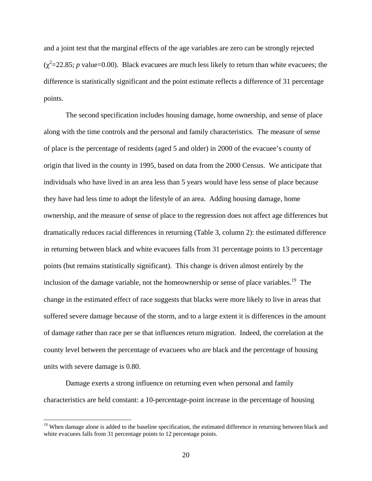and a joint test that the marginal effects of the age variables are zero can be strongly rejected  $(\chi^2=22.85; p \text{ value}=0.00)$ . Black evacuees are much less likely to return than white evacuees; the difference is statistically significant and the point estimate reflects a difference of 31 percentage points.

The second specification includes housing damage, home ownership, and sense of place along with the time controls and the personal and family characteristics. The measure of sense of place is the percentage of residents (aged 5 and older) in 2000 of the evacuee's county of origin that lived in the county in 1995, based on data from the 2000 Census. We anticipate that individuals who have lived in an area less than 5 years would have less sense of place because they have had less time to adopt the lifestyle of an area. Adding housing damage, home ownership, and the measure of sense of place to the regression does not affect age differences but dramatically reduces racial differences in returning (Table 3, column 2): the estimated difference in returning between black and white evacuees falls from 31 percentage points to 13 percentage points (but remains statistically significant). This change is driven almost entirely by the inclusion of the damage variable, not the homeownership or sense of place variables.<sup>19</sup> The change in the estimated effect of race suggests that blacks were more likely to live in areas that suffered severe damage because of the storm, and to a large extent it is differences in the amount of damage rather than race per se that influences return migration. Indeed, the correlation at the county level between the percentage of evacuees who are black and the percentage of housing units with severe damage is 0.80.

Damage exerts a strong influence on returning even when personal and family characteristics are held constant: a 10-percentage-point increase in the percentage of housing

<sup>&</sup>lt;sup>19</sup> When damage alone is added to the baseline specification, the estimated difference in returning between black and white evacuees falls from 31 percentage points to 12 percentage points.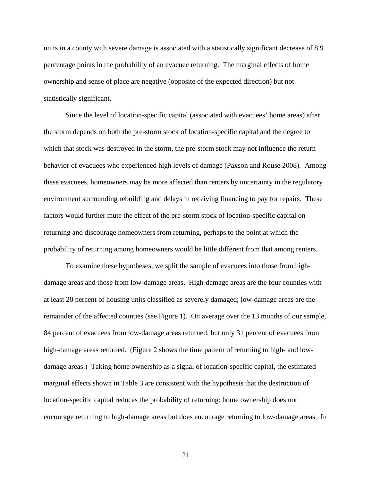units in a county with severe damage is associated with a statistically significant decrease of 8.9 percentage points in the probability of an evacuee returning. The marginal effects of home ownership and sense of place are negative (opposite of the expected direction) but not statistically significant.

Since the level of location-specific capital (associated with evacuees' home areas) after the storm depends on both the pre-storm stock of location-specific capital and the degree to which that stock was destroyed in the storm, the pre-storm stock may not influence the return behavior of evacuees who experienced high levels of damage (Paxson and Rouse 2008). Among these evacuees, homeowners may be more affected than renters by uncertainty in the regulatory environment surrounding rebuilding and delays in receiving financing to pay for repairs. These factors would further mute the effect of the pre-storm stock of location-specific capital on returning and discourage homeowners from returning, perhaps to the point at which the probability of returning among homeowners would be little different from that among renters.

To examine these hypotheses, we split the sample of evacuees into those from highdamage areas and those from low-damage areas. High-damage areas are the four counties with at least 20 percent of housing units classified as severely damaged; low-damage areas are the remainder of the affected counties (see Figure 1). On average over the 13 months of our sample, 84 percent of evacuees from low-damage areas returned, but only 31 percent of evacuees from high-damage areas returned. (Figure 2 shows the time pattern of returning to high- and lowdamage areas.) Taking home ownership as a signal of location-specific capital, the estimated marginal effects shown in Table 3 are consistent with the hypothesis that the destruction of location-specific capital reduces the probability of returning: home ownership does not encourage returning to high-damage areas but does encourage returning to low-damage areas. In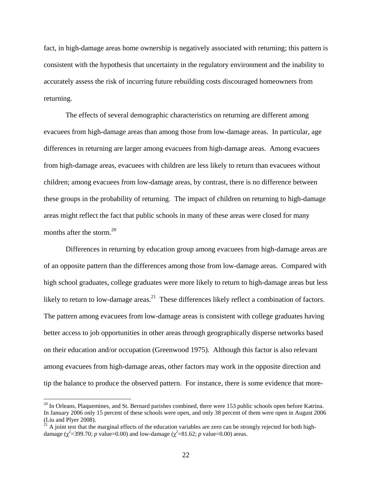fact, in high-damage areas home ownership is negatively associated with returning; this pattern is consistent with the hypothesis that uncertainty in the regulatory environment and the inability to accurately assess the risk of incurring future rebuilding costs discouraged homeowners from returning.

The effects of several demographic characteristics on returning are different among evacuees from high-damage areas than among those from low-damage areas. In particular, age differences in returning are larger among evacuees from high-damage areas. Among evacuees from high-damage areas, evacuees with children are less likely to return than evacuees without children; among evacuees from low-damage areas, by contrast, there is no difference between these groups in the probability of returning. The impact of children on returning to high-damage areas might reflect the fact that public schools in many of these areas were closed for many months after the storm.<sup>20</sup>

Differences in returning by education group among evacuees from high-damage areas are of an opposite pattern than the differences among those from low-damage areas. Compared with high school graduates, college graduates were more likely to return to high-damage areas but less likely to return to low-damage areas.<sup>21</sup> These differences likely reflect a combination of factors. The pattern among evacuees from low-damage areas is consistent with college graduates having better access to job opportunities in other areas through geographically disperse networks based on their education and/or occupation (Greenwood 1975). Although this factor is also relevant among evacuees from high-damage areas, other factors may work in the opposite direction and tip the balance to produce the observed pattern. For instance, there is some evidence that more-

<sup>&</sup>lt;sup>20</sup> In Orleans, Plaquemines, and St. Bernard parishes combined, there were 153 public schools open before Katrina. In January 2006 only 15 percent of these schools were open, and only 38 percent of them were open in August 2006 (Liu and Plyer 2008).

 $21$  A joint test that the marginal effects of the education variables are zero can be strongly rejected for both highdamage ( $\chi^2$ =399.70; *p* value=0.00) and low-damage ( $\chi^2$ =81.62; *p* value=0.00) areas.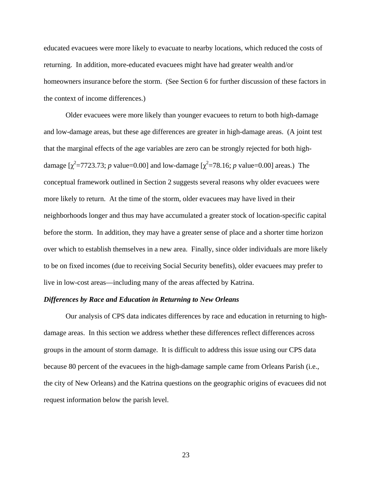educated evacuees were more likely to evacuate to nearby locations, which reduced the costs of returning. In addition, more-educated evacuees might have had greater wealth and/or homeowners insurance before the storm. (See Section 6 for further discussion of these factors in the context of income differences.)

Older evacuees were more likely than younger evacuees to return to both high-damage and low-damage areas, but these age differences are greater in high-damage areas. (A joint test that the marginal effects of the age variables are zero can be strongly rejected for both highdamage  $[\chi^2 = 7723.73; p$  value=0.00] and low-damage  $[\chi^2 = 78.16; p$  value=0.00] areas.) The conceptual framework outlined in Section 2 suggests several reasons why older evacuees were more likely to return. At the time of the storm, older evacuees may have lived in their neighborhoods longer and thus may have accumulated a greater stock of location-specific capital before the storm. In addition, they may have a greater sense of place and a shorter time horizon over which to establish themselves in a new area. Finally, since older individuals are more likely to be on fixed incomes (due to receiving Social Security benefits), older evacuees may prefer to live in low-cost areas—including many of the areas affected by Katrina.

### *Differences by Race and Education in Returning to New Orleans*

 Our analysis of CPS data indicates differences by race and education in returning to highdamage areas. In this section we address whether these differences reflect differences across groups in the amount of storm damage. It is difficult to address this issue using our CPS data because 80 percent of the evacuees in the high-damage sample came from Orleans Parish (i.e., the city of New Orleans) and the Katrina questions on the geographic origins of evacuees did not request information below the parish level.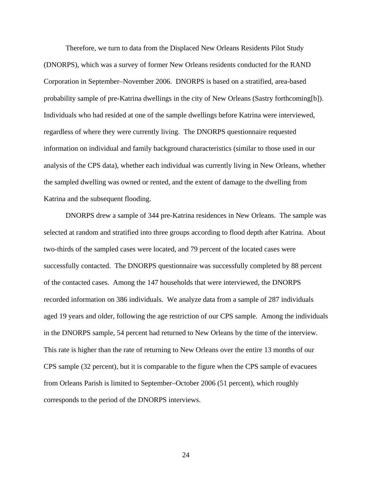Therefore, we turn to data from the Displaced New Orleans Residents Pilot Study (DNORPS), which was a survey of former New Orleans residents conducted for the RAND Corporation in September–November 2006. DNORPS is based on a stratified, area-based probability sample of pre-Katrina dwellings in the city of New Orleans (Sastry forthcoming[b]). Individuals who had resided at one of the sample dwellings before Katrina were interviewed, regardless of where they were currently living. The DNORPS questionnaire requested information on individual and family background characteristics (similar to those used in our analysis of the CPS data), whether each individual was currently living in New Orleans, whether the sampled dwelling was owned or rented, and the extent of damage to the dwelling from Katrina and the subsequent flooding.

DNORPS drew a sample of 344 pre-Katrina residences in New Orleans. The sample was selected at random and stratified into three groups according to flood depth after Katrina. About two-thirds of the sampled cases were located, and 79 percent of the located cases were successfully contacted. The DNORPS questionnaire was successfully completed by 88 percent of the contacted cases. Among the 147 households that were interviewed, the DNORPS recorded information on 386 individuals. We analyze data from a sample of 287 individuals aged 19 years and older, following the age restriction of our CPS sample. Among the individuals in the DNORPS sample, 54 percent had returned to New Orleans by the time of the interview. This rate is higher than the rate of returning to New Orleans over the entire 13 months of our CPS sample (32 percent), but it is comparable to the figure when the CPS sample of evacuees from Orleans Parish is limited to September–October 2006 (51 percent), which roughly corresponds to the period of the DNORPS interviews.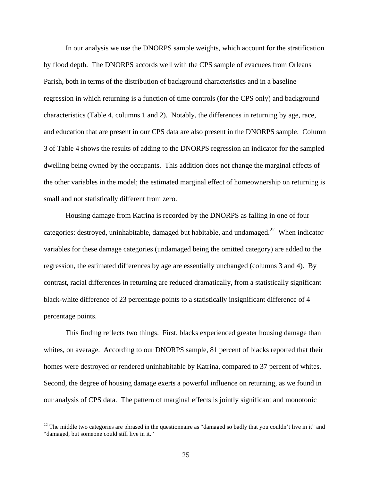In our analysis we use the DNORPS sample weights, which account for the stratification by flood depth. The DNORPS accords well with the CPS sample of evacuees from Orleans Parish, both in terms of the distribution of background characteristics and in a baseline regression in which returning is a function of time controls (for the CPS only) and background characteristics (Table 4, columns 1 and 2). Notably, the differences in returning by age, race, and education that are present in our CPS data are also present in the DNORPS sample. Column 3 of Table 4 shows the results of adding to the DNORPS regression an indicator for the sampled dwelling being owned by the occupants. This addition does not change the marginal effects of the other variables in the model; the estimated marginal effect of homeownership on returning is small and not statistically different from zero.

Housing damage from Katrina is recorded by the DNORPS as falling in one of four categories: destroyed, uninhabitable, damaged but habitable, and undamaged.<sup>22</sup> When indicator variables for these damage categories (undamaged being the omitted category) are added to the regression, the estimated differences by age are essentially unchanged (columns 3 and 4). By contrast, racial differences in returning are reduced dramatically, from a statistically significant black-white difference of 23 percentage points to a statistically insignificant difference of 4 percentage points.

This finding reflects two things. First, blacks experienced greater housing damage than whites, on average. According to our DNORPS sample, 81 percent of blacks reported that their homes were destroyed or rendered uninhabitable by Katrina, compared to 37 percent of whites. Second, the degree of housing damage exerts a powerful influence on returning, as we found in our analysis of CPS data. The pattern of marginal effects is jointly significant and monotonic

 $22$  The middle two categories are phrased in the questionnaire as "damaged so badly that you couldn't live in it" and "damaged, but someone could still live in it."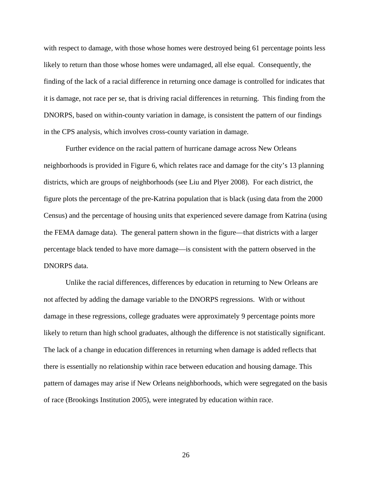with respect to damage, with those whose homes were destroyed being 61 percentage points less likely to return than those whose homes were undamaged, all else equal. Consequently, the finding of the lack of a racial difference in returning once damage is controlled for indicates that it is damage, not race per se, that is driving racial differences in returning. This finding from the DNORPS, based on within-county variation in damage, is consistent the pattern of our findings in the CPS analysis, which involves cross-county variation in damage.

Further evidence on the racial pattern of hurricane damage across New Orleans neighborhoods is provided in Figure 6, which relates race and damage for the city's 13 planning districts, which are groups of neighborhoods (see Liu and Plyer 2008). For each district, the figure plots the percentage of the pre-Katrina population that is black (using data from the 2000 Census) and the percentage of housing units that experienced severe damage from Katrina (using the FEMA damage data). The general pattern shown in the figure—that districts with a larger percentage black tended to have more damage—is consistent with the pattern observed in the DNORPS data.

Unlike the racial differences, differences by education in returning to New Orleans are not affected by adding the damage variable to the DNORPS regressions. With or without damage in these regressions, college graduates were approximately 9 percentage points more likely to return than high school graduates, although the difference is not statistically significant. The lack of a change in education differences in returning when damage is added reflects that there is essentially no relationship within race between education and housing damage. This pattern of damages may arise if New Orleans neighborhoods, which were segregated on the basis of race (Brookings Institution 2005), were integrated by education within race.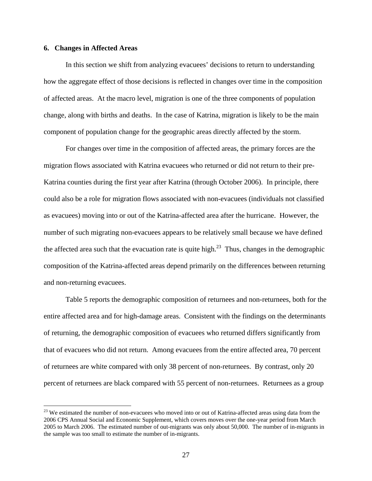# **6. Changes in Affected Areas**

<u>.</u>

In this section we shift from analyzing evacuees' decisions to return to understanding how the aggregate effect of those decisions is reflected in changes over time in the composition of affected areas. At the macro level, migration is one of the three components of population change, along with births and deaths. In the case of Katrina, migration is likely to be the main component of population change for the geographic areas directly affected by the storm.

For changes over time in the composition of affected areas, the primary forces are the migration flows associated with Katrina evacuees who returned or did not return to their pre-Katrina counties during the first year after Katrina (through October 2006). In principle, there could also be a role for migration flows associated with non-evacuees (individuals not classified as evacuees) moving into or out of the Katrina-affected area after the hurricane. However, the number of such migrating non-evacuees appears to be relatively small because we have defined the affected area such that the evacuation rate is quite high.<sup>23</sup> Thus, changes in the demographic composition of the Katrina-affected areas depend primarily on the differences between returning and non-returning evacuees.

Table 5 reports the demographic composition of returnees and non-returnees, both for the entire affected area and for high-damage areas. Consistent with the findings on the determinants of returning, the demographic composition of evacuees who returned differs significantly from that of evacuees who did not return. Among evacuees from the entire affected area, 70 percent of returnees are white compared with only 38 percent of non-returnees. By contrast, only 20 percent of returnees are black compared with 55 percent of non-returnees. Returnees as a group

<sup>&</sup>lt;sup>23</sup> We estimated the number of non-evacuees who moved into or out of Katrina-affected areas using data from the 2006 CPS Annual Social and Economic Supplement, which covers moves over the one-year period from March 2005 to March 2006. The estimated number of out-migrants was only about 50,000. The number of in-migrants in the sample was too small to estimate the number of in-migrants.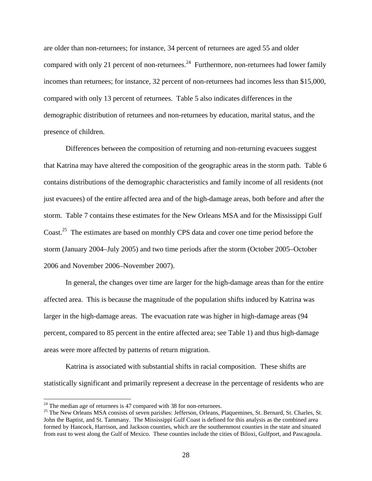are older than non-returnees; for instance, 34 percent of returnees are aged 55 and older compared with only 21 percent of non-returnees.<sup>24</sup> Furthermore, non-returnees had lower family incomes than returnees; for instance, 32 percent of non-returnees had incomes less than \$15,000, compared with only 13 percent of returnees. Table 5 also indicates differences in the demographic distribution of returnees and non-returnees by education, marital status, and the presence of children.

Differences between the composition of returning and non-returning evacuees suggest that Katrina may have altered the composition of the geographic areas in the storm path. Table 6 contains distributions of the demographic characteristics and family income of all residents (not just evacuees) of the entire affected area and of the high-damage areas, both before and after the storm. Table 7 contains these estimates for the New Orleans MSA and for the Mississippi Gulf Coast.<sup>25</sup> The estimates are based on monthly CPS data and cover one time period before the storm (January 2004–July 2005) and two time periods after the storm (October 2005–October 2006 and November 2006–November 2007).

In general, the changes over time are larger for the high-damage areas than for the entire affected area. This is because the magnitude of the population shifts induced by Katrina was larger in the high-damage areas. The evacuation rate was higher in high-damage areas (94 percent, compared to 85 percent in the entire affected area; see Table 1) and thus high-damage areas were more affected by patterns of return migration.

Katrina is associated with substantial shifts in racial composition. These shifts are statistically significant and primarily represent a decrease in the percentage of residents who are

<sup>&</sup>lt;sup>24</sup> The median age of returnees is 47 compared with 38 for non-returnees.<br><sup>25</sup> The New Orleans MSA consists of seven parishes: Jefferson, Orleans, Plaquemines, St. Bernard, St. Charles, St. John the Baptist, and St. Tammany. The Mississippi Gulf Coast is defined for this analysis as the combined area formed by Hancock, Harrison, and Jackson counties, which are the southernmost counties in the state and situated from east to west along the Gulf of Mexico. These counties include the cities of Biloxi, Gulfport, and Pascagoula.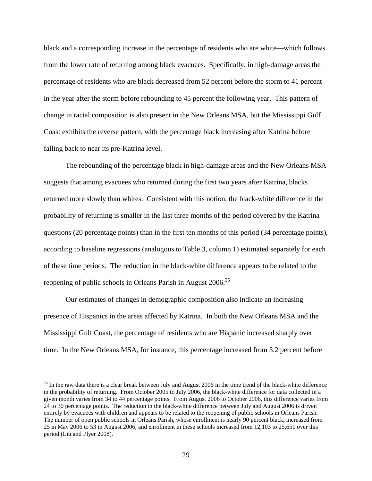black and a corresponding increase in the percentage of residents who are white—which follows from the lower rate of returning among black evacuees. Specifically, in high-damage areas the percentage of residents who are black decreased from 52 percent before the storm to 41 percent in the year after the storm before rebounding to 45 percent the following year. This pattern of change in racial composition is also present in the New Orleans MSA, but the Mississippi Gulf Coast exhibits the reverse pattern, with the percentage black increasing after Katrina before falling back to near its pre-Katrina level.

The rebounding of the percentage black in high-damage areas and the New Orleans MSA suggests that among evacuees who returned during the first two years after Katrina, blacks returned more slowly than whites. Consistent with this notion, the black-white difference in the probability of returning is smaller in the last three months of the period covered by the Katrina questions (20 percentage points) than in the first ten months of this period (34 percentage points), according to baseline regressions (analogous to Table 3, column 1) estimated separately for each of these time periods. The reduction in the black-white difference appears to be related to the reopening of public schools in Orleans Parish in August 2006.<sup>26</sup>

Our estimates of changes in demographic composition also indicate an increasing presence of Hispanics in the areas affected by Katrina. In both the New Orleans MSA and the Mississippi Gulf Coast, the percentage of residents who are Hispanic increased sharply over time. In the New Orleans MSA, for instance, this percentage increased from 3.2 percent before

<sup>&</sup>lt;sup>26</sup> In the raw data there is a clear break between July and August 2006 in the time trend of the black-white difference in the probability of returning. From October 2005 to July 2006, the black-white difference for data collected in a given month varies from 34 to 44 percentage points. From August 2006 to October 2006, this difference varies from 24 to 30 percentage points. The reduction in the black-white difference between July and August 2006 is driven entirely by evacuees with children and appears to be related to the reopening of public schools in Orleans Parish. The number of open public schools in Orleans Parish, whose enrollment is nearly 90 percent black, increased from 25 in May 2006 to 53 in August 2006, and enrollment in these schools increased from 12,103 to 25,651 over this period (Liu and Plyer 2008).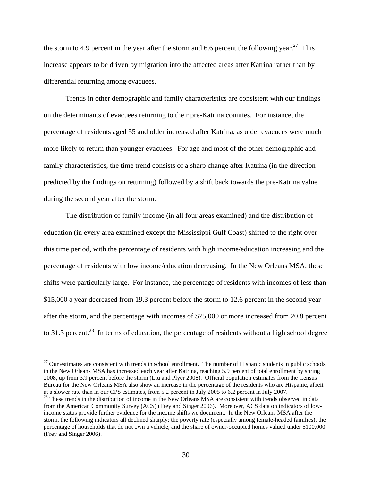the storm to 4.9 percent in the year after the storm and 6.6 percent the following year.<sup>27</sup> This increase appears to be driven by migration into the affected areas after Katrina rather than by differential returning among evacuees.

Trends in other demographic and family characteristics are consistent with our findings on the determinants of evacuees returning to their pre-Katrina counties. For instance, the percentage of residents aged 55 and older increased after Katrina, as older evacuees were much more likely to return than younger evacuees. For age and most of the other demographic and family characteristics, the time trend consists of a sharp change after Katrina (in the direction predicted by the findings on returning) followed by a shift back towards the pre-Katrina value during the second year after the storm.

The distribution of family income (in all four areas examined) and the distribution of education (in every area examined except the Mississippi Gulf Coast) shifted to the right over this time period, with the percentage of residents with high income/education increasing and the percentage of residents with low income/education decreasing. In the New Orleans MSA, these shifts were particularly large. For instance, the percentage of residents with incomes of less than \$15,000 a year decreased from 19.3 percent before the storm to 12.6 percent in the second year after the storm, and the percentage with incomes of \$75,000 or more increased from 20.8 percent to 31.3 percent.<sup>28</sup> In terms of education, the percentage of residents without a high school degree

 $27$  Our estimates are consistent with trends in school enrollment. The number of Hispanic students in public schools in the New Orleans MSA has increased each year after Katrina, reaching 5.9 percent of total enrollment by spring 2008, up from 3.9 percent before the storm (Liu and Plyer 2008). Official population estimates from the Census Bureau for the New Orleans MSA also show an increase in the percentage of the residents who are Hispanic, albeit at a slower rate than in our CPS estimates, from 5.2 percent in July 2005 to 6.2 percent in July 2007.

<sup>&</sup>lt;sup>28</sup> These trends in the distribution of income in the New Orleans MSA are consistent with trends observed in data from the American Community Survey (ACS) (Frey and Singer 2006). Moreover, ACS data on indicators of lowincome status provide further evidence for the income shifts we document. In the New Orleans MSA after the storm, the following indicators all declined sharply: the poverty rate (especially among female-headed families), the percentage of households that do not own a vehicle, and the share of owner-occupied homes valued under \$100,000 (Frey and Singer 2006).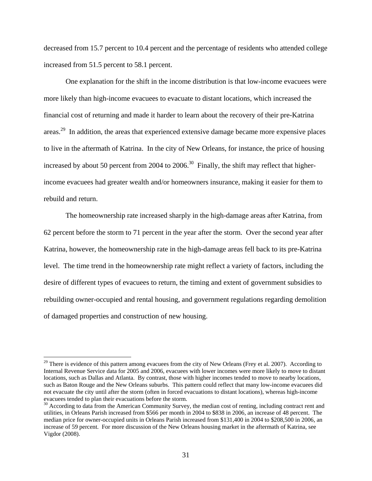decreased from 15.7 percent to 10.4 percent and the percentage of residents who attended college increased from 51.5 percent to 58.1 percent.

One explanation for the shift in the income distribution is that low-income evacuees were more likely than high-income evacuees to evacuate to distant locations, which increased the financial cost of returning and made it harder to learn about the recovery of their pre-Katrina areas.<sup>29</sup> In addition, the areas that experienced extensive damage became more expensive places to live in the aftermath of Katrina. In the city of New Orleans, for instance, the price of housing increased by about 50 percent from 2004 to 2006.<sup>30</sup> Finally, the shift may reflect that higherincome evacuees had greater wealth and/or homeowners insurance, making it easier for them to rebuild and return.

The homeownership rate increased sharply in the high-damage areas after Katrina, from 62 percent before the storm to 71 percent in the year after the storm. Over the second year after Katrina, however, the homeownership rate in the high-damage areas fell back to its pre-Katrina level. The time trend in the homeownership rate might reflect a variety of factors, including the desire of different types of evacuees to return, the timing and extent of government subsidies to rebuilding owner-occupied and rental housing, and government regulations regarding demolition of damaged properties and construction of new housing.

<sup>&</sup>lt;sup>29</sup> There is evidence of this pattern among evacuees from the city of New Orleans (Frey et al. 2007). According to Internal Revenue Service data for 2005 and 2006, evacuees with lower incomes were more likely to move to distant locations, such as Dallas and Atlanta. By contrast, those with higher incomes tended to move to nearby locations, such as Baton Rouge and the New Orleans suburbs. This pattern could reflect that many low-income evacuees did not evacuate the city until after the storm (often in forced evacuations to distant locations), whereas high-income evacuees tended to plan their evacuations before the storm.<br><sup>30</sup> According to data from the American Community Survey, the median cost of renting, including contract rent and

utilities, in Orleans Parish increased from \$566 per month in 2004 to \$838 in 2006, an increase of 48 percent. The median price for owner-occupied units in Orleans Parish increased from \$131,400 in 2004 to \$208,500 in 2006, an increase of 59 percent. For more discussion of the New Orleans housing market in the aftermath of Katrina, see Vigdor (2008).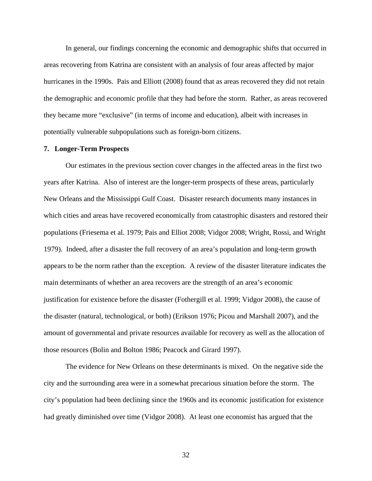In general, our findings concerning the economic and demographic shifts that occurred in areas recovering from Katrina are consistent with an analysis of four areas affected by major hurricanes in the 1990s. Pais and Elliott (2008) found that as areas recovered they did not retain the demographic and economic profile that they had before the storm. Rather, as areas recovered they became more "exclusive" (in terms of income and education), albeit with increases in potentially vulnerable subpopulations such as foreign-born citizens.

#### **7. Longer-Term Prospects**

Our estimates in the previous section cover changes in the affected areas in the first two years after Katrina. Also of interest are the longer-term prospects of these areas, particularly New Orleans and the Mississippi Gulf Coast. Disaster research documents many instances in which cities and areas have recovered economically from catastrophic disasters and restored their populations (Friesema et al. 1979; Pais and Elliot 2008; Vidgor 2008; Wright, Rossi, and Wright 1979). Indeed, after a disaster the full recovery of an area's population and long-term growth appears to be the norm rather than the exception. A review of the disaster literature indicates the main determinants of whether an area recovers are the strength of an area's economic justification for existence before the disaster (Fothergill et al. 1999; Vidgor 2008), the cause of the disaster (natural, technological, or both) (Erikson 1976; Picou and Marshall 2007), and the amount of governmental and private resources available for recovery as well as the allocation of those resources (Bolin and Bolton 1986; Peacock and Girard 1997).

The evidence for New Orleans on these determinants is mixed. On the negative side the city and the surrounding area were in a somewhat precarious situation before the storm. The city's population had been declining since the 1960s and its economic justification for existence had greatly diminished over time (Vidgor 2008). At least one economist has argued that the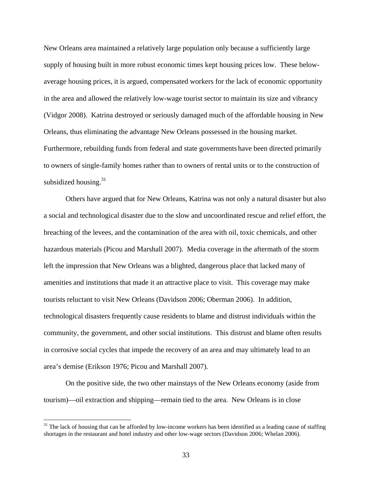New Orleans area maintained a relatively large population only because a sufficiently large supply of housing built in more robust economic times kept housing prices low. These belowaverage housing prices, it is argued, compensated workers for the lack of economic opportunity in the area and allowed the relatively low-wage tourist sector to maintain its size and vibrancy (Vidgor 2008). Katrina destroyed or seriously damaged much of the affordable housing in New Orleans, thus eliminating the advantage New Orleans possessed in the housing market. Furthermore, rebuilding funds from federal and state governments have been directed primarily to owners of single-family homes rather than to owners of rental units or to the construction of subsidized housing. $31$ 

Others have argued that for New Orleans, Katrina was not only a natural disaster but also a social and technological disaster due to the slow and uncoordinated rescue and relief effort, the breaching of the levees, and the contamination of the area with oil, toxic chemicals, and other hazardous materials (Picou and Marshall 2007). Media coverage in the aftermath of the storm left the impression that New Orleans was a blighted, dangerous place that lacked many of amenities and institutions that made it an attractive place to visit. This coverage may make tourists reluctant to visit New Orleans (Davidson 2006; Oberman 2006). In addition, technological disasters frequently cause residents to blame and distrust individuals within the community, the government, and other social institutions. This distrust and blame often results in corrosive social cycles that impede the recovery of an area and may ultimately lead to an area's demise (Erikson 1976; Picou and Marshall 2007).

On the positive side, the two other mainstays of the New Orleans economy (aside from tourism)—oil extraction and shipping—remain tied to the area. New Orleans is in close

 $31$  The lack of housing that can be afforded by low-income workers has been identified as a leading cause of staffing shortages in the restaurant and hotel industry and other low-wage sectors (Davidson 2006; Whelan 2006).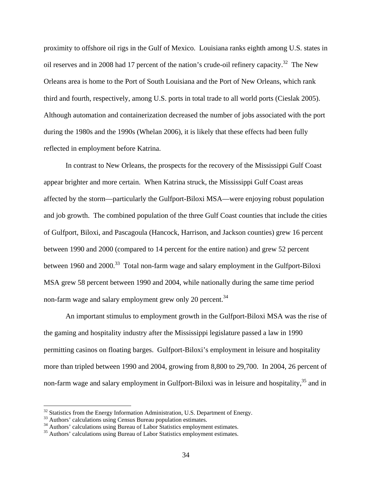proximity to offshore oil rigs in the Gulf of Mexico. Louisiana ranks eighth among U.S. states in oil reserves and in 2008 had 17 percent of the nation's crude-oil refinery capacity.<sup>32</sup> The New Orleans area is home to the Port of South Louisiana and the Port of New Orleans, which rank third and fourth, respectively, among U.S. ports in total trade to all world ports (Cieslak 2005). Although automation and containerization decreased the number of jobs associated with the port during the 1980s and the 1990s (Whelan 2006), it is likely that these effects had been fully reflected in employment before Katrina.

In contrast to New Orleans, the prospects for the recovery of the Mississippi Gulf Coast appear brighter and more certain. When Katrina struck, the Mississippi Gulf Coast areas affected by the storm—particularly the Gulfport-Biloxi MSA—were enjoying robust population and job growth. The combined population of the three Gulf Coast counties that include the cities of Gulfport, Biloxi, and Pascagoula (Hancock, Harrison, and Jackson counties) grew 16 percent between 1990 and 2000 (compared to 14 percent for the entire nation) and grew 52 percent between 1960 and 2000.<sup>33</sup> Total non-farm wage and salary employment in the Gulfport-Biloxi MSA grew 58 percent between 1990 and 2004, while nationally during the same time period non-farm wage and salary employment grew only 20 percent.<sup>34</sup>

An important stimulus to employment growth in the Gulfport-Biloxi MSA was the rise of the gaming and hospitality industry after the Mississippi legislature passed a law in 1990 permitting casinos on floating barges. Gulfport-Biloxi's employment in leisure and hospitality more than tripled between 1990 and 2004, growing from 8,800 to 29,700. In 2004, 26 percent of non-farm wage and salary employment in Gulfport-Biloxi was in leisure and hospitality,<sup>35</sup> and in

<u>.</u>

 $32$  Statistics from the Energy Information Administration, U.S. Department of Energy.

<sup>&</sup>lt;sup>33</sup> Authors' calculations using Census Bureau population estimates.

<sup>&</sup>lt;sup>34</sup> Authors' calculations using Bureau of Labor Statistics employment estimates.

<sup>&</sup>lt;sup>35</sup> Authors' calculations using Bureau of Labor Statistics employment estimates.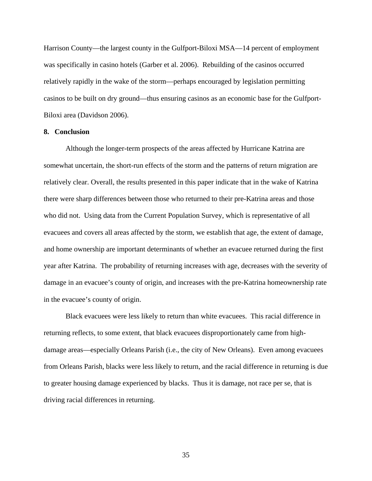Harrison County—the largest county in the Gulfport-Biloxi MSA—14 percent of employment was specifically in casino hotels (Garber et al. 2006). Rebuilding of the casinos occurred relatively rapidly in the wake of the storm—perhaps encouraged by legislation permitting casinos to be built on dry ground—thus ensuring casinos as an economic base for the Gulfport-Biloxi area (Davidson 2006).

## **8. Conclusion**

Although the longer-term prospects of the areas affected by Hurricane Katrina are somewhat uncertain, the short-run effects of the storm and the patterns of return migration are relatively clear. Overall, the results presented in this paper indicate that in the wake of Katrina there were sharp differences between those who returned to their pre-Katrina areas and those who did not. Using data from the Current Population Survey, which is representative of all evacuees and covers all areas affected by the storm, we establish that age, the extent of damage, and home ownership are important determinants of whether an evacuee returned during the first year after Katrina. The probability of returning increases with age, decreases with the severity of damage in an evacuee's county of origin, and increases with the pre-Katrina homeownership rate in the evacuee's county of origin.

Black evacuees were less likely to return than white evacuees. This racial difference in returning reflects, to some extent, that black evacuees disproportionately came from highdamage areas—especially Orleans Parish (i.e., the city of New Orleans). Even among evacuees from Orleans Parish, blacks were less likely to return, and the racial difference in returning is due to greater housing damage experienced by blacks. Thus it is damage, not race per se, that is driving racial differences in returning.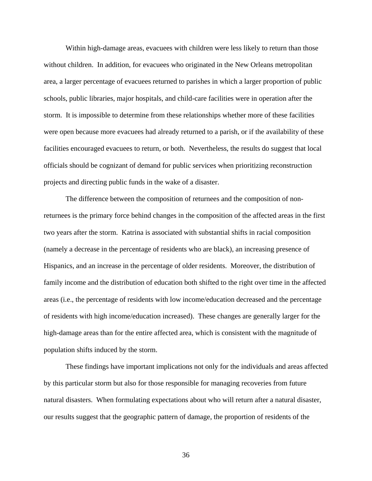Within high-damage areas, evacuees with children were less likely to return than those without children. In addition, for evacuees who originated in the New Orleans metropolitan area, a larger percentage of evacuees returned to parishes in which a larger proportion of public schools, public libraries, major hospitals, and child-care facilities were in operation after the storm. It is impossible to determine from these relationships whether more of these facilities were open because more evacuees had already returned to a parish, or if the availability of these facilities encouraged evacuees to return, or both. Nevertheless, the results do suggest that local officials should be cognizant of demand for public services when prioritizing reconstruction projects and directing public funds in the wake of a disaster.

The difference between the composition of returnees and the composition of nonreturnees is the primary force behind changes in the composition of the affected areas in the first two years after the storm. Katrina is associated with substantial shifts in racial composition (namely a decrease in the percentage of residents who are black), an increasing presence of Hispanics, and an increase in the percentage of older residents. Moreover, the distribution of family income and the distribution of education both shifted to the right over time in the affected areas (i.e., the percentage of residents with low income/education decreased and the percentage of residents with high income/education increased). These changes are generally larger for the high-damage areas than for the entire affected area, which is consistent with the magnitude of population shifts induced by the storm.

These findings have important implications not only for the individuals and areas affected by this particular storm but also for those responsible for managing recoveries from future natural disasters. When formulating expectations about who will return after a natural disaster, our results suggest that the geographic pattern of damage, the proportion of residents of the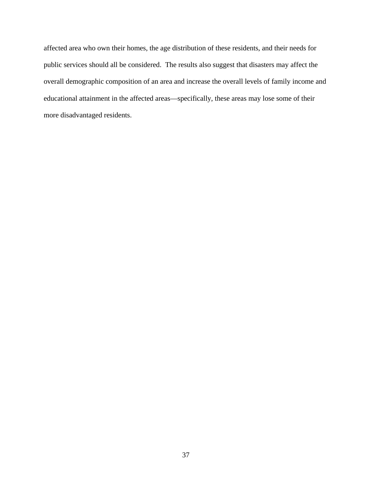affected area who own their homes, the age distribution of these residents, and their needs for public services should all be considered. The results also suggest that disasters may affect the overall demographic composition of an area and increase the overall levels of family income and educational attainment in the affected areas—specifically, these areas may lose some of their more disadvantaged residents.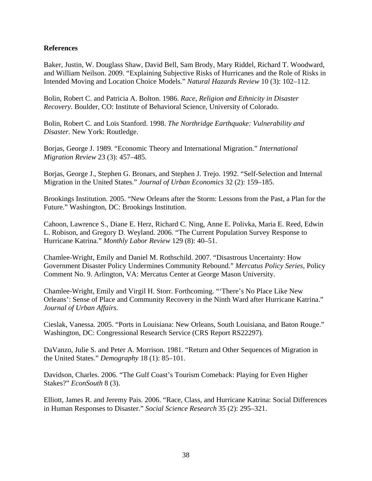# **References**

Baker, Justin, W. Douglass Shaw, David Bell, Sam Brody, Mary Riddel, Richard T. Woodward, and William Neilson. 2009. "Explaining Subjective Risks of Hurricanes and the Role of Risks in Intended Moving and Location Choice Models." *Natural Hazards Review* 10 (3): 102–112.

Bolin, Robert C. and Patricia A. Bolton. 1986. *Race, Religion and Ethnicity in Disaster Recovery.* Boulder, CO: Institute of Behavioral Science, University of Colorado.

Bolin, Robert C. and Lois Stanford. 1998. *The Northridge Earthquake: Vulnerability and Disaster.* New York: Routledge.

Borjas, George J. 1989. "Economic Theory and International Migration." *International Migration Review* 23 (3): 457–485.

Borjas, George J., Stephen G. Bronars, and Stephen J. Trejo. 1992. "Self-Selection and Internal Migration in the United States." *Journal of Urban Economics* 32 (2): 159–185.

Brookings Institution. 2005. "New Orleans after the Storm: Lessons from the Past, a Plan for the Future." Washington, DC: Brookings Institution.

Cahoon, Lawrence S., Diane E. Herz, Richard C. Ning, Anne E. Polivka, Maria E. Reed, Edwin L. Robison, and Gregory D. Weyland. 2006. "The Current Population Survey Response to Hurricane Katrina." *Monthly Labor Review* 129 (8): 40–51.

Chamlee-Wright, Emily and Daniel M. Rothschild. 2007. "Disastrous Uncertainty: How Government Disaster Policy Undermines Community Rebound." *Mercatus Policy Series,* Policy Comment No. 9. Arlington, VA: Mercatus Center at George Mason University.

Chamlee-Wright, Emily and Virgil H. Storr. Forthcoming. "'There's No Place Like New Orleans': Sense of Place and Community Recovery in the Ninth Ward after Hurricane Katrina." *Journal of Urban Affairs.*

Cieslak, Vanessa. 2005. "Ports in Louisiana: New Orleans, South Louisiana, and Baton Rouge." Washington, DC: Congressional Research Service (CRS Report RS22297).

DaVanzo, Julie S. and Peter A. Morrison. 1981. "Return and Other Sequences of Migration in the United States." *Demography* 18 (1): 85–101.

Davidson, Charles. 2006. "The Gulf Coast's Tourism Comeback: Playing for Even Higher Stakes?" *EconSouth* 8 (3).

Elliott, James R. and Jeremy Pais. 2006. "Race, Class, and Hurricane Katrina: Social Differences in Human Responses to Disaster." *Social Science Research* 35 (2): 295–321.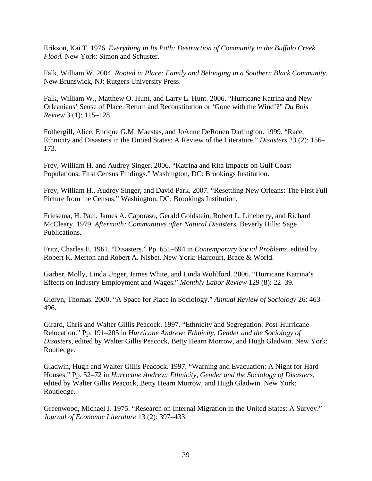Erikson, Kai T. 1976. *Everything in Its Path: Destruction of Community in the Buffalo Creek Flood.* New York: Simon and Schuster.

Falk, William W. 2004. *Rooted in Place: Family and Belonging in a Southern Black Community.* New Brunswick, NJ: Rutgers University Press.

Falk, William W., Matthew O. Hunt, and Larry L. Hunt. 2006. "Hurricane Katrina and New Orleanians' Sense of Place: Return and Reconstitution or 'Gone with the Wind'?" *Du Bois Review* 3 (1): 115–128.

Fothergill, Alice, Enrique G.M. Maestas, and JoAnne DeRouen Darlington. 1999. "Race, Ethnicity and Disasters in the Untied States: A Review of the Literature." *Disasters* 23 (2): 156– 173.

Frey, William H. and Audrey Singer. 2006. "Katrina and Rita Impacts on Gulf Coast Populations: First Census Findings." Washington, DC: Brookings Institution.

Frey, William H., Audrey Singer, and David Park. 2007. "Resettling New Orleans: The First Full Picture from the Census." Washington, DC: Brookings Institution.

Friesema, H. Paul, James A. Caporaso, Gerald Goldstein, Robert L. Lineberry, and Richard McCleary. 1979. *Aftermath: Communities after Natural Disasters.* Beverly Hills: Sage Publications.

Fritz, Charles E. 1961. "Disasters." Pp. 651–694 in *Contemporary Social Problems,* edited by Robert K. Merton and Robert A. Nisbet. New York: Harcourt, Brace & World.

Garber, Molly, Linda Unger, James White, and Linda Wohlford. 2006. "Hurricane Katrina's Effects on Industry Employment and Wages." *Monthly Labor Review* 129 (8): 22–39.

Gieryn, Thomas. 2000. "A Space for Place in Sociology." *Annual Review of Sociology* 26: 463– 496.

Girard, Chris and Walter Gillis Peacock. 1997. "Ethnicity and Segregation: Post-Hurricane Relocation." Pp. 191–205 in *Hurricane Andrew: Ethnicity, Gender and the Sociology of Disasters,* edited by Walter Gillis Peacock, Betty Hearn Morrow, and Hugh Gladwin. New York: Routledge.

Gladwin, Hugh and Walter Gillis Peacock. 1997. "Warning and Evacuation: A Night for Hard Houses." Pp. 52–72 in *Hurricane Andrew: Ethnicity, Gender and the Sociology of Disasters,* edited by Walter Gillis Peacock, Betty Hearn Morrow, and Hugh Gladwin. New York: Routledge.

Greenwood, Michael J. 1975. "Research on Internal Migration in the United States: A Survey." *Journal of Economic Literature* 13 (2): 397–433.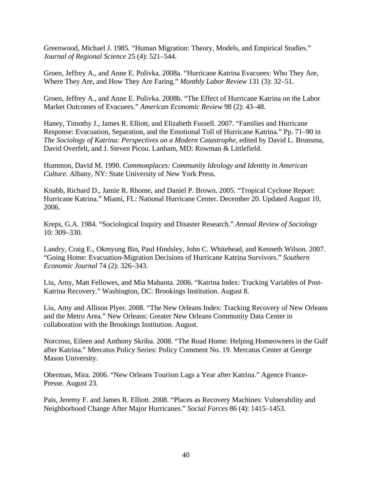Greenwood, Michael J. 1985. "Human Migration: Theory, Models, and Empirical Studies." *Journal of Regional Science* 25 (4): 521–544.

Groen, Jeffrey A., and Anne E. Polivka. 2008a. "Hurricane Katrina Evacuees: Who They Are, Where They Are, and How They Are Faring." *Monthly Labor Review* 131 (3): 32–51.

Groen, Jeffrey A., and Anne E. Polivka. 2008b. "The Effect of Hurricane Katrina on the Labor Market Outcomes of Evacuees." *American Economic Review* 98 (2): 43–48.

Haney, Timothy J., James R. Elliott, and Elizabeth Fussell. 2007. "Families and Hurricane Response: Evacuation, Separation, and the Emotional Toll of Hurricane Katrina." Pp. 71–90 in *The Sociology of Katrina: Perspectives on a Modern Catastrophe,* edited by David L. Brunsma, David Overfelt, and J. Steven Picou. Lanham, MD: Rowman & Littlefield.

Hummon, David M. 1990. *Commonplaces: Community Ideology and Identity in American Culture.* Albany, NY: State University of New York Press.

Knabb, Richard D., Jamie R. Rhome, and Daniel P. Brown. 2005. "Tropical Cyclone Report: Hurricane Katrina." Miami, FL: National Hurricane Center. December 20. Updated August 10, 2006.

Kreps, G.A. 1984. "Sociological Inquiry and Disaster Research." *Annual Review of Sociology* 10: 309–330.

Landry, Craig E., Okmyung Bin, Paul Hindsley, John C. Whitehead, and Kenneth Wilson. 2007. "Going Home: Evacuation-Migration Decisions of Hurricane Katrina Survivors." *Southern Economic Journal* 74 (2): 326–343.

Liu, Amy, Matt Fellowes, and Mia Mabanta. 2006. "Katrina Index: Tracking Variables of Post-Katrina Recovery." Washington, DC: Brookings Institution. August 8.

Liu, Amy and Allison Plyer. 2008. "The New Orleans Index: Tracking Recovery of New Orleans and the Metro Area." New Orleans: Greater New Orleans Community Data Center in collaboration with the Brookings Institution. August.

Norcross, Eileen and Anthony Skriba. 2008. "The Road Home: Helping Homeowners in the Gulf after Katrina." Mercatus Policy Series: Policy Comment No. 19. Mercatus Center at George Mason University.

Oberman, Mira. 2006. "New Orleans Tourism Lags a Year after Katrina." Agence France-Presse. August 23.

Pais, Jeremy F. and James R. Elliott. 2008. "Places as Recovery Machines: Vulnerability and Neighborhood Change After Major Hurricanes." *Social Forces* 86 (4): 1415–1453.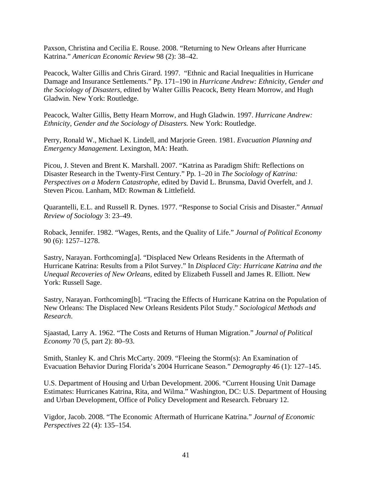Paxson, Christina and Cecilia E. Rouse. 2008. "Returning to New Orleans after Hurricane Katrina." *American Economic Review* 98 (2): 38–42.

Peacock, Walter Gillis and Chris Girard. 1997. "Ethnic and Racial Inequalities in Hurricane Damage and Insurance Settlements." Pp. 171–190 in *Hurricane Andrew: Ethnicity, Gender and the Sociology of Disasters,* edited by Walter Gillis Peacock, Betty Hearn Morrow, and Hugh Gladwin. New York: Routledge.

Peacock, Walter Gillis, Betty Hearn Morrow, and Hugh Gladwin. 1997. *Hurricane Andrew: Ethnicity, Gender and the Sociology of Disasters.* New York: Routledge.

Perry, Ronald W., Michael K. Lindell, and Marjorie Green. 1981. *Evacuation Planning and Emergency Management.* Lexington, MA: Heath.

Picou, J. Steven and Brent K. Marshall. 2007. "Katrina as Paradigm Shift: Reflections on Disaster Research in the Twenty-First Century." Pp. 1–20 in *The Sociology of Katrina: Perspectives on a Modern Catastrophe,* edited by David L. Brunsma, David Overfelt, and J. Steven Picou. Lanham, MD: Rowman & Littlefield.

Quarantelli, E.L. and Russell R. Dynes. 1977. "Response to Social Crisis and Disaster." *Annual Review of Sociology* 3: 23–49.

Roback, Jennifer. 1982. "Wages, Rents, and the Quality of Life." *Journal of Political Economy* 90 (6): 1257–1278.

Sastry, Narayan. Forthcoming[a]. "Displaced New Orleans Residents in the Aftermath of Hurricane Katrina: Results from a Pilot Survey." In *Displaced City: Hurricane Katrina and the Unequal Recoveries of New Orleans,* edited by Elizabeth Fussell and James R. Elliott. New York: Russell Sage.

Sastry, Narayan. Forthcoming[b]. "Tracing the Effects of Hurricane Katrina on the Population of New Orleans: The Displaced New Orleans Residents Pilot Study." *Sociological Methods and Research*.

Sjaastad, Larry A. 1962. "The Costs and Returns of Human Migration." *Journal of Political Economy* 70 (5, part 2): 80–93.

Smith, Stanley K. and Chris McCarty. 2009. "Fleeing the Storm(s): An Examination of Evacuation Behavior During Florida's 2004 Hurricane Season." *Demography* 46 (1): 127–145.

U.S. Department of Housing and Urban Development. 2006. "Current Housing Unit Damage Estimates: Hurricanes Katrina, Rita, and Wilma." Washington, DC: U.S. Department of Housing and Urban Development, Office of Policy Development and Research. February 12.

Vigdor, Jacob. 2008. "The Economic Aftermath of Hurricane Katrina." *Journal of Economic Perspectives* 22 (4): 135–154.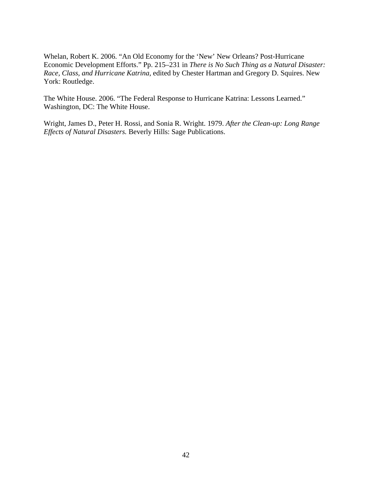Whelan, Robert K. 2006. "An Old Economy for the 'New' New Orleans? Post-Hurricane Economic Development Efforts." Pp. 215–231 in *There is No Such Thing as a Natural Disaster: Race, Class, and Hurricane Katrina,* edited by Chester Hartman and Gregory D. Squires. New York: Routledge.

The White House. 2006. "The Federal Response to Hurricane Katrina: Lessons Learned." Washington, DC: The White House.

Wright, James D., Peter H. Rossi, and Sonia R. Wright. 1979. *After the Clean-up: Long Range Effects of Natural Disasters.* Beverly Hills: Sage Publications.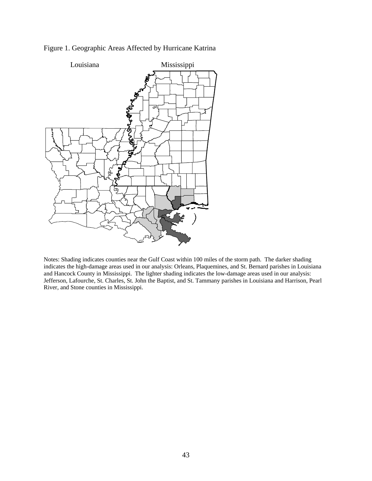

# Figure 1. Geographic Areas Affected by Hurricane Katrina

Notes: Shading indicates counties near the Gulf Coast within 100 miles of the storm path. The darker shading indicates the high-damage areas used in our analysis: Orleans, Plaquemines, and St. Bernard parishes in Louisiana and Hancock County in Mississippi. The lighter shading indicates the low-damage areas used in our analysis: Jefferson, Lafourche, St. Charles, St. John the Baptist, and St. Tammany parishes in Louisiana and Harrison, Pearl River, and Stone counties in Mississippi.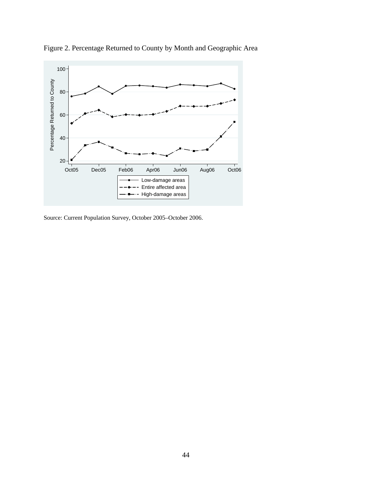

Figure 2. Percentage Returned to County by Month and Geographic Area

Source: Current Population Survey, October 2005–October 2006.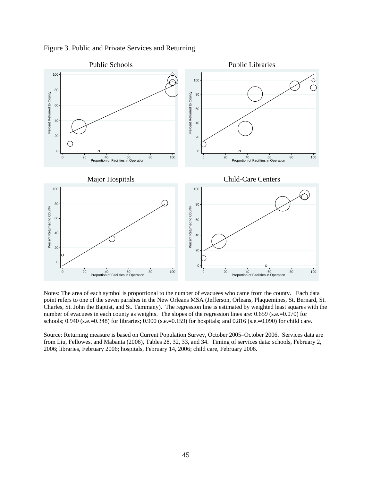

Figure 3. Public and Private Services and Returning

Notes: The area of each symbol is proportional to the number of evacuees who came from the county. Each data point refers to one of the seven parishes in the New Orleans MSA (Jefferson, Orleans, Plaquemines, St. Bernard, St. Charles, St. John the Baptist, and St. Tammany). The regression line is estimated by weighted least squares with the number of evacuees in each county as weights. The slopes of the regression lines are: 0.659 (s.e.=0.070) for schools; 0.940 (s.e.=0.348) for libraries; 0.900 (s.e.=0.159) for hospitals; and 0.816 (s.e.=0.090) for child care.

Source: Returning measure is based on Current Population Survey, October 2005–October 2006. Services data are from Liu, Fellowes, and Mabanta (2006), Tables 28, 32, 33, and 34. Timing of services data: schools, February 2, 2006; libraries, February 2006; hospitals, February 14, 2006; child care, February 2006.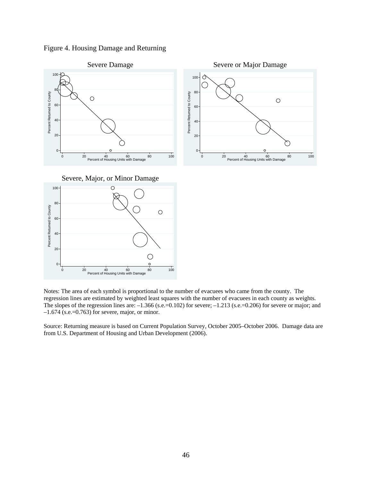Figure 4. Housing Damage and Returning



Severe, Major, or Minor Damage





Source: Returning measure is based on Current Population Survey, October 2005–October 2006. Damage data are from U.S. Department of Housing and Urban Development (2006).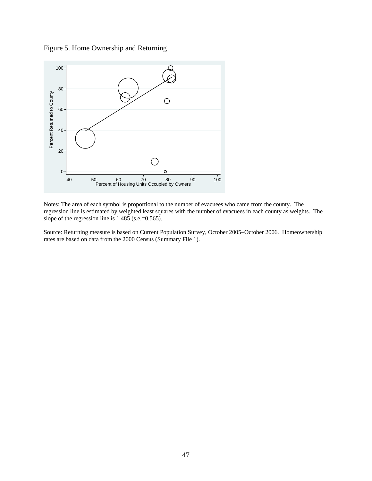Figure 5. Home Ownership and Returning



Notes: The area of each symbol is proportional to the number of evacuees who came from the county. The regression line is estimated by weighted least squares with the number of evacuees in each county as weights. The slope of the regression line is 1.485 (s.e.=0.565).

Source: Returning measure is based on Current Population Survey, October 2005–October 2006. Homeownership rates are based on data from the 2000 Census (Summary File 1).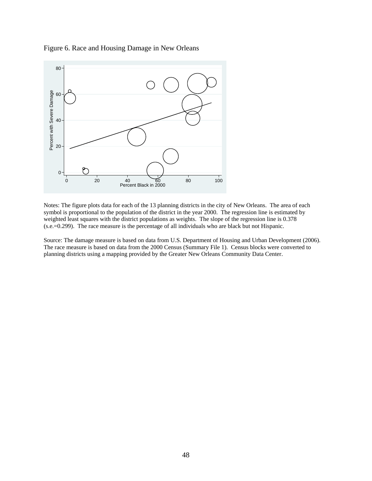

Figure 6. Race and Housing Damage in New Orleans

Notes: The figure plots data for each of the 13 planning districts in the city of New Orleans. The area of each symbol is proportional to the population of the district in the year 2000. The regression line is estimated by weighted least squares with the district populations as weights. The slope of the regression line is 0.378 (s.e.=0.299). The race measure is the percentage of all individuals who are black but not Hispanic.

Source: The damage measure is based on data from U.S. Department of Housing and Urban Development (2006). The race measure is based on data from the 2000 Census (Summary File 1). Census blocks were converted to planning districts using a mapping provided by the Greater New Orleans Community Data Center.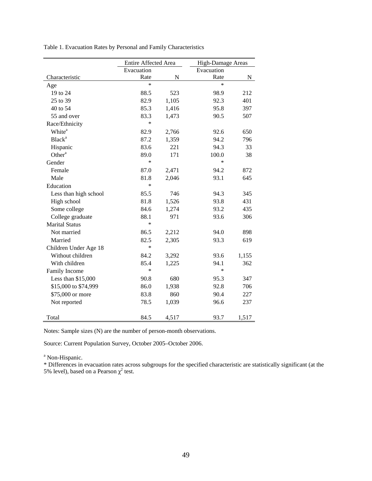|                       | Entire Affected Area |           |            | High-Damage Areas |  |  |  |
|-----------------------|----------------------|-----------|------------|-------------------|--|--|--|
|                       | Evacuation           |           | Evacuation |                   |  |  |  |
| Characteristic        | Rate                 | ${\bf N}$ | Rate       | N                 |  |  |  |
| Age                   | $\ast$               |           | $\ast$     |                   |  |  |  |
| 19 to 24              | 88.5                 | 523       | 98.9       | 212               |  |  |  |
| 25 to 39              | 82.9                 | 1,105     | 92.3       | 401               |  |  |  |
| 40 to 54              | 85.3                 | 1,416     | 95.8       | 397               |  |  |  |
| 55 and over           | 83.3                 | 1,473     | 90.5       | 507               |  |  |  |
| Race/Ethnicity        | $\ast$               |           |            |                   |  |  |  |
| White <sup>a</sup>    | 82.9                 | 2,766     | 92.6       | 650               |  |  |  |
| Black <sup>a</sup>    | 87.2                 | 1,359     | 94.2       | 796               |  |  |  |
| Hispanic              | 83.6                 | 221       | 94.3       | 33                |  |  |  |
| Other <sup>a</sup>    | 89.0                 | 171       | 100.0      | 38                |  |  |  |
| Gender                | $\ast$               |           | $\ast$     |                   |  |  |  |
| Female                | 87.0                 | 2,471     | 94.2       | 872               |  |  |  |
| Male                  | 81.8                 | 2,046     | 93.1       | 645               |  |  |  |
| Education             | $\ast$               |           |            |                   |  |  |  |
| Less than high school | 85.5                 | 746       | 94.3       | 345               |  |  |  |
| High school           | 81.8                 | 1,526     | 93.8       | 431               |  |  |  |
| Some college          | 84.6                 | 1,274     | 93.2       | 435               |  |  |  |
| College graduate      | 88.1                 | 971       | 93.6       | 306               |  |  |  |
| <b>Marital Status</b> | $\ast$               |           |            |                   |  |  |  |
| Not married           | 86.5                 | 2,212     | 94.0       | 898               |  |  |  |
| Married               | 82.5                 | 2,305     | 93.3       | 619               |  |  |  |
| Children Under Age 18 | $\ast$               |           |            |                   |  |  |  |
| Without children      | 84.2                 | 3,292     | 93.6       | 1,155             |  |  |  |
| With children         | 85.4                 | 1,225     | 94.1       | 362               |  |  |  |
| Family Income         | *                    |           | *          |                   |  |  |  |
| Less than \$15,000    | 90.8                 | 680       | 95.3       | 347               |  |  |  |
| \$15,000 to \$74,999  | 86.0                 | 1,938     | 92.8       | 706               |  |  |  |
| \$75,000 or more      | 83.8                 | 860       | 90.4       | 227               |  |  |  |
| Not reported          | 78.5                 | 1,039     | 96.6       | 237               |  |  |  |
|                       |                      |           |            |                   |  |  |  |
| Total                 | 84.5                 | 4,517     | 93.7       | 1,517             |  |  |  |

Table 1. Evacuation Rates by Personal and Family Characteristics

Notes: Sample sizes (N) are the number of person-month observations.

Source: Current Population Survey, October 2005–October 2006.

<sup>a</sup> Non-Hispanic.

\* Differences in evacuation rates across subgroups for the specified characteristic are statistically significant (at the 5% level), based on a Pearson  $\chi^2$  test.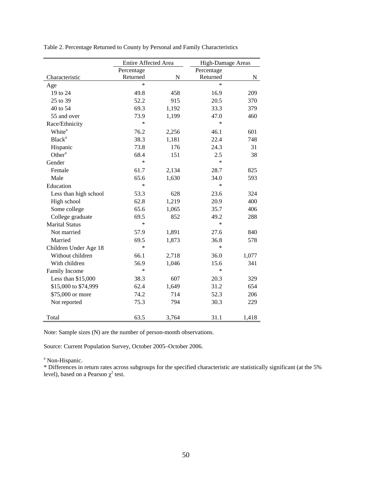|                       | Entire Affected Area |           | High-Damage Areas |       |  |
|-----------------------|----------------------|-----------|-------------------|-------|--|
|                       | Percentage           |           | Percentage        |       |  |
| Characteristic        | Returned             | ${\bf N}$ | Returned          | N     |  |
| Age                   | $\ast$               |           | $\ast$            |       |  |
| 19 to 24              | 49.8                 | 458       | 16.9              | 209   |  |
| 25 to 39              | 52.2                 | 915       | 20.5              | 370   |  |
| 40 to 54              | 69.3                 | 1,192     | 33.3              | 379   |  |
| 55 and over           | 73.9                 | 1,199     | 47.0              | 460   |  |
| Race/Ethnicity        | *                    |           | $\ast$            |       |  |
| White <sup>a</sup>    | 76.2                 | 2,256     | 46.1              | 601   |  |
| Black <sup>a</sup>    | 38.3                 | 1,181     | 22.4              | 748   |  |
| Hispanic              | 73.8                 | 176       | 24.3              | 31    |  |
| Other <sup>a</sup>    | 68.4                 | 151       | 2.5               | 38    |  |
| Gender                | $\ast$               |           | $\ast$            |       |  |
| Female                | 61.7                 | 2,134     | 28.7              | 825   |  |
| Male                  | 65.6                 | 1,630     | 34.0              | 593   |  |
| Education             | $\ast$               |           | $\ast$            |       |  |
| Less than high school | 53.3                 | 628       | 23.6              | 324   |  |
| High school           | 62.8                 | 1,219     | 20.9              | 400   |  |
| Some college          | 65.6                 | 1,065     | 35.7              | 406   |  |
| College graduate      | 69.5                 | 852       | 49.2              | 288   |  |
| <b>Marital Status</b> | $\ast$               |           | $\ast$            |       |  |
| Not married           | 57.9                 | 1,891     | 27.6              | 840   |  |
| Married               | 69.5                 | 1,873     | 36.8              | 578   |  |
| Children Under Age 18 | $\ast$               |           | $\ast$            |       |  |
| Without children      | 66.1                 | 2,718     | 36.0              | 1,077 |  |
| With children         | 56.9                 | 1,046     | 15.6              | 341   |  |
| Family Income         | *                    |           | $\ast$            |       |  |
| Less than \$15,000    | 38.3                 | 607       | 20.3              | 329   |  |
| \$15,000 to \$74,999  | 62.4                 | 1,649     | 31.2              | 654   |  |
| \$75,000 or more      | 74.2                 | 714       | 52.3              | 206   |  |
| Not reported          | 75.3                 | 794       | 30.3              | 229   |  |
|                       |                      |           |                   |       |  |
| Total                 | 63.5                 | 3,764     | 31.1              | 1,418 |  |

Table 2. Percentage Returned to County by Personal and Family Characteristics

Note: Sample sizes (N) are the number of person-month observations.

Source: Current Population Survey, October 2005–October 2006.

<sup>a</sup> Non-Hispanic.

\* Differences in return rates across subgroups for the specified characteristic are statistically significant (at the 5% level), based on a Pearson  $\chi^2$  test.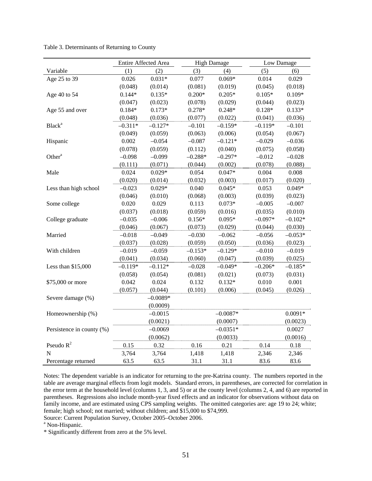|                           |           | Entire Affected Area |           | <b>High Damage</b> | Low Damage |           |
|---------------------------|-----------|----------------------|-----------|--------------------|------------|-----------|
| Variable                  | (1)       | (2)                  | (3)       | (4)                | (5)        | (6)       |
| Age 25 to 39              | 0.026     | $0.031*$             | 0.077     | $0.069*$           | 0.014      | 0.029     |
|                           | (0.048)   | (0.014)              | (0.081)   | (0.019)            | (0.045)    | (0.018)   |
| Age 40 to 54              | $0.144*$  | $0.135*$             | $0.200*$  | $0.205*$           | $0.105*$   | $0.109*$  |
|                           | (0.047)   | (0.023)              | (0.078)   | (0.029)            | (0.044)    | (0.023)   |
| Age 55 and over           | $0.184*$  | $0.173*$             | $0.278*$  | $0.248*$           | $0.128*$   | $0.133*$  |
|                           | (0.048)   | (0.036)              | (0.077)   | (0.022)            | (0.041)    | (0.036)   |
| <b>Black</b> <sup>a</sup> | $-0.311*$ | $-0.127*$            | $-0.101$  | $-0.159*$          | $-0.119*$  | $-0.101$  |
|                           | (0.049)   | (0.059)              | (0.063)   | (0.006)            | (0.054)    | (0.067)   |
| Hispanic                  | 0.002     | $-0.054$             | $-0.087$  | $-0.121*$          | $-0.029$   | $-0.036$  |
|                           | (0.078)   | (0.059)              | (0.112)   | (0.040)            | (0.075)    | (0.058)   |
| Other <sup>a</sup>        | $-0.098$  | $-0.099$             | $-0.288*$ | $-0.297*$          | $-0.012$   | $-0.028$  |
|                           | (0.111)   | (0.071)              | (0.044)   | (0.002)            | (0.078)    | (0.088)   |
| Male                      | 0.024     | $0.029*$             | 0.054     | $0.047*$           | 0.004      | 0.008     |
|                           | (0.020)   | (0.014)              | (0.032)   | (0.003)            | (0.017)    | (0.020)   |
| Less than high school     | $-0.023$  | $0.029*$             | 0.040     | $0.045*$           | 0.053      | $0.049*$  |
|                           | (0.046)   | (0.010)              | (0.068)   | (0.003)            | (0.039)    | (0.023)   |
| Some college              | 0.020     | 0.029                | 0.113     | $0.073*$           | $-0.005$   | $-0.007$  |
|                           | (0.037)   | (0.018)              | (0.059)   | (0.016)            | (0.035)    | (0.010)   |
| College graduate          | $-0.035$  | $-0.006$             | $0.156*$  | $0.095*$           | $-0.097*$  | $-0.102*$ |
|                           | (0.046)   | (0.067)              | (0.073)   | (0.029)            | (0.044)    | (0.030)   |
| Married                   | $-0.018$  | $-0.049$             | $-0.030$  | $-0.062$           | $-0.056$   | $-0.053*$ |
|                           | (0.037)   | (0.028)              | (0.059)   | (0.050)            | (0.036)    | (0.023)   |
| With children             | $-0.019$  | $-0.059$             | $-0.153*$ | $-0.129*$          | $-0.010$   | $-0.019$  |
|                           | (0.041)   | (0.034)              | (0.060)   | (0.047)            | (0.039)    | (0.025)   |
| Less than \$15,000        | $-0.119*$ | $-0.112*$            | $-0.028$  | $-0.049*$          | $-0.206*$  | $-0.185*$ |
|                           | (0.058)   | (0.054)              | (0.081)   | (0.021)            | (0.073)    | (0.031)   |
| \$75,000 or more          | 0.042     | 0.024                | 0.132     | $0.132*$           | 0.010      | 0.001     |
|                           | (0.057)   | (0.044)              | (0.101)   | (0.006)            | (0.045)    | (0.026)   |
| Severe damage (%)         |           | $-0.0089*$           |           |                    |            |           |
|                           |           | (0.0009)             |           |                    |            |           |
| Homeownership (%)         |           | $-0.0015$            |           | $-0.0087*$         |            | $0.0091*$ |
|                           |           | (0.0021)             |           | (0.0007)           |            | (0.0023)  |
| Persistence in county (%) |           | $-0.0069$            |           | $-0.0351*$         |            | 0.0027    |
|                           |           | (0.0062)             |           | (0.0033)           |            | (0.0016)  |
| Pseudo $R^2$              | 0.15      | 0.32                 | 0.16      | 0.21               | 0.14       | 0.18      |
| $\overline{N}$            | 3,764     | 3,764                | 1,418     | 1,418              | 2,346      | 2,346     |
| Percentage returned       | 63.5      | 63.5                 | 31.1      | 31.1               | 83.6       | 83.6      |

Table 3. Determinants of Returning to County

Notes: The dependent variable is an indicator for returning to the pre-Katrina county. The numbers reported in the table are average marginal effects from logit models. Standard errors, in parentheses, are corrected for correlation in the error term at the household level (columns 1, 3, and 5) or at the county level (columns 2, 4, and 6) are reported in parentheses. Regressions also include month-year fixed effects and an indicator for observations without data on family income, and are estimated using CPS sampling weights. The omitted categories are: age 19 to 24; white; female; high school; not married; without children; and \$15,000 to \$74,999. Source: Current Population Survey, October 2005–October 2006.

<sup>a</sup> Non-Hispanic.

\* Significantly different from zero at the 5% level.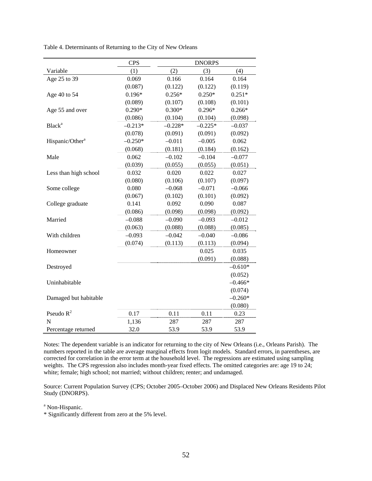|                             | <b>CPS</b> | <b>DNORPS</b> |           |           |  |  |
|-----------------------------|------------|---------------|-----------|-----------|--|--|
| Variable                    | (1)        | (2)           | (3)       | (4)       |  |  |
| Age 25 to 39                | 0.069      | 0.166         | 0.164     | 0.164     |  |  |
|                             | (0.087)    | (0.122)       | (0.122)   | (0.119)   |  |  |
| Age 40 to 54                | $0.196*$   | $0.256*$      | $0.250*$  | $0.251*$  |  |  |
|                             | (0.089)    | (0.107)       | (0.108)   | (0.101)   |  |  |
| Age 55 and over             | $0.290*$   | $0.300*$      | $0.296*$  | $0.266*$  |  |  |
|                             | (0.086)    | (0.104)       | (0.104)   | (0.098)   |  |  |
| <b>Black</b> <sup>a</sup>   | $-0.213*$  | $-0.228*$     | $-0.225*$ | $-0.037$  |  |  |
|                             | (0.078)    | (0.091)       | (0.091)   | (0.092)   |  |  |
| Hispanic/Other <sup>a</sup> | $-0.250*$  | $-0.011$      | $-0.005$  | 0.062     |  |  |
|                             | (0.068)    | (0.181)       | (0.184)   | (0.162)   |  |  |
| Male                        | 0.062      | $-0.102$      | $-0.104$  | $-0.077$  |  |  |
|                             | (0.039)    | (0.055)       | (0.055)   | (0.051)   |  |  |
| Less than high school       | 0.032      | 0.020         | 0.022     | 0.027     |  |  |
|                             | (0.080)    | (0.106)       | (0.107)   | (0.097)   |  |  |
| Some college                | 0.080      | $-0.068$      | $-0.071$  | $-0.066$  |  |  |
|                             | (0.067)    | (0.102)       | (0.101)   | (0.092)   |  |  |
| College graduate            | 0.141      | 0.092         | 0.090     | 0.087     |  |  |
|                             | (0.086)    | (0.098)       | (0.098)   | (0.092)   |  |  |
| Married                     | $-0.088$   | $-0.090$      | $-0.093$  | $-0.012$  |  |  |
|                             | (0.063)    | (0.088)       | (0.088)   | (0.085)   |  |  |
| With children               | $-0.093$   | $-0.042$      | $-0.040$  | $-0.086$  |  |  |
|                             | (0.074)    | (0.113)       | (0.113)   | (0.094)   |  |  |
| Homeowner                   |            |               | 0.025     | 0.035     |  |  |
|                             |            |               | (0.091)   | (0.088)   |  |  |
| Destroyed                   |            |               |           | $-0.610*$ |  |  |
|                             |            |               |           | (0.052)   |  |  |
| Uninhabitable               |            |               |           | $-0.466*$ |  |  |
|                             |            |               |           | (0.074)   |  |  |
| Damaged but habitable       |            |               |           | $-0.260*$ |  |  |
|                             |            |               |           | (0.080)   |  |  |
| Pseudo $R^2$                | 0.17       | 0.11          | 0.11      | 0.23      |  |  |
| N                           | 1,136      | 287           | 287       | 287       |  |  |
| Percentage returned         | 32.0       | 53.9          | 53.9      | 53.9      |  |  |

Table 4. Determinants of Returning to the City of New Orleans

Notes: The dependent variable is an indicator for returning to the city of New Orleans (i.e., Orleans Parish). The numbers reported in the table are average marginal effects from logit models. Standard errors, in parentheses, are corrected for correlation in the error term at the household level. The regressions are estimated using sampling weights. The CPS regression also includes month-year fixed effects. The omitted categories are: age 19 to 24; white; female; high school; not married; without children; renter; and undamaged.

Source: Current Population Survey (CPS; October 2005–October 2006) and Displaced New Orleans Residents Pilot Study (DNORPS).

<sup>a</sup> Non-Hispanic.

\* Significantly different from zero at the 5% level.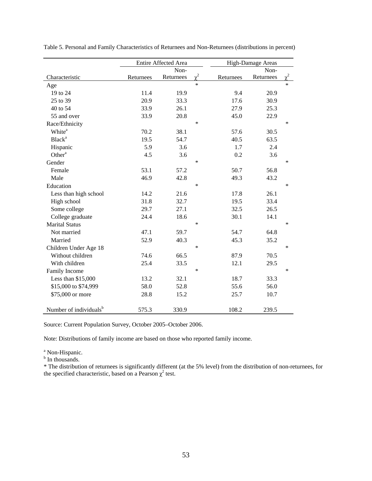|                                    |           | Entire Affected Area |          | High-Damage Areas |           |        |
|------------------------------------|-----------|----------------------|----------|-------------------|-----------|--------|
|                                    |           | Non-                 |          |                   | Non-      |        |
| Characteristic                     | Returnees | Returnees            | $\chi^2$ | Returnees         | Returnees |        |
| Age                                |           |                      | $\ast$   |                   |           | $\ast$ |
| 19 to 24                           | 11.4      | 19.9                 |          | 9.4               | 20.9      |        |
| 25 to 39                           | 20.9      | 33.3                 |          | 17.6              | 30.9      |        |
| 40 to 54                           | 33.9      | 26.1                 |          | 27.9              | 25.3      |        |
| 55 and over                        | 33.9      | 20.8                 |          | 45.0              | 22.9      |        |
| Race/Ethnicity                     |           |                      | $\ast$   |                   |           | $\ast$ |
| White <sup>a</sup>                 | 70.2      | 38.1                 |          | 57.6              | 30.5      |        |
| <b>Black</b> <sup>a</sup>          | 19.5      | 54.7                 |          | 40.5              | 63.5      |        |
| Hispanic                           | 5.9       | 3.6                  |          | 1.7               | 2.4       |        |
| Other <sup>a</sup>                 | 4.5       | 3.6                  |          | 0.2               | 3.6       |        |
| Gender                             |           |                      | $\ast$   |                   |           | *      |
| Female                             | 53.1      | 57.2                 |          | 50.7              | 56.8      |        |
| Male                               | 46.9      | 42.8                 |          | 49.3              | 43.2      |        |
| Education                          |           |                      | $\ast$   |                   |           | $\ast$ |
| Less than high school              | 14.2      | 21.6                 |          | 17.8              | 26.1      |        |
| High school                        | 31.8      | 32.7                 |          | 19.5              | 33.4      |        |
| Some college                       | 29.7      | 27.1                 |          | 32.5              | 26.5      |        |
| College graduate                   | 24.4      | 18.6                 |          | 30.1              | 14.1      |        |
| <b>Marital Status</b>              |           |                      | $\ast$   |                   |           | *      |
| Not married                        | 47.1      | 59.7                 |          | 54.7              | 64.8      |        |
| Married                            | 52.9      | 40.3                 |          | 45.3              | 35.2      |        |
| Children Under Age 18              |           |                      | $\ast$   |                   |           | $\ast$ |
| Without children                   | 74.6      | 66.5                 |          | 87.9              | 70.5      |        |
| With children                      | 25.4      | 33.5                 |          | 12.1              | 29.5      |        |
| Family Income                      |           |                      | $\ast$   |                   |           | *      |
| Less than \$15,000                 | 13.2      | 32.1                 |          | 18.7              | 33.3      |        |
| \$15,000 to \$74,999               | 58.0      | 52.8                 |          | 55.6              | 56.0      |        |
| \$75,000 or more                   | 28.8      | 15.2                 |          | 25.7              | 10.7      |        |
|                                    |           |                      |          |                   |           |        |
| Number of individuals <sup>b</sup> | 575.3     | 330.9                |          | 108.2             | 239.5     |        |

Table 5. Personal and Family Characteristics of Returnees and Non-Returnees (distributions in percent)

Source: Current Population Survey, October 2005–October 2006.

Note: Distributions of family income are based on those who reported family income.

<sup>a</sup> Non-Hispanic.<br><sup>b</sup> In thousands.

\* The distribution of returnees is significantly different (at the 5% level) from the distribution of non-returnees, for the specified characteristic, based on a Pearson  $\chi^2$  test.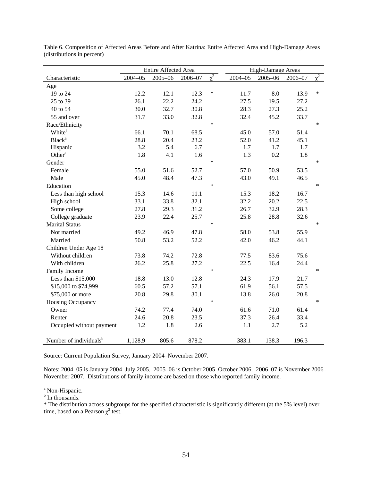|                                    |             | Entire Affected Area |         |          |             | High-Damage Areas |         |          |
|------------------------------------|-------------|----------------------|---------|----------|-------------|-------------------|---------|----------|
| Characteristic                     | $2004 - 05$ | $2005 - 06$          | 2006-07 | $\chi^2$ | $2004 - 05$ | $2005 - 06$       | 2006-07 | $\chi^2$ |
| Age                                |             |                      |         |          |             |                   |         |          |
| 19 to 24                           | 12.2        | 12.1                 | 12.3    | $\ast$   | 11.7        | 8.0               | 13.9    | $\ast$   |
| 25 to 39                           | 26.1        | 22.2                 | 24.2    |          | 27.5        | 19.5              | 27.2    |          |
| 40 to 54                           | 30.0        | 32.7                 | 30.8    |          | 28.3        | 27.3              | 25.2    |          |
| 55 and over                        | 31.7        | 33.0                 | 32.8    |          | 32.4        | 45.2              | 33.7    |          |
| Race/Ethnicity                     |             |                      |         | $\ast$   |             |                   |         | $\ast$   |
| White <sup>a</sup>                 | 66.1        | 70.1                 | 68.5    |          | 45.0        | 57.0              | 51.4    |          |
| <b>Black</b> <sup>a</sup>          | 28.8        | 20.4                 | 23.2    |          | 52.0        | 41.2              | 45.1    |          |
| Hispanic                           | 3.2         | 5.4                  | 6.7     |          | 1.7         | 1.7               | 1.7     |          |
| Other <sup>a</sup>                 | 1.8         | 4.1                  | 1.6     |          | 1.3         | 0.2               | 1.8     |          |
| Gender                             |             |                      |         | $\ast$   |             |                   |         | $\ast$   |
| Female                             | 55.0        | 51.6                 | 52.7    |          | 57.0        | 50.9              | 53.5    |          |
| Male                               | 45.0        | 48.4                 | 47.3    |          | 43.0        | 49.1              | 46.5    |          |
| Education                          |             |                      |         | $\ast$   |             |                   |         | $\ast$   |
| Less than high school              | 15.3        | 14.6                 | 11.1    |          | 15.3        | 18.2              | 16.7    |          |
| High school                        | 33.1        | 33.8                 | 32.1    |          | 32.2        | 20.2              | 22.5    |          |
| Some college                       | 27.8        | 29.3                 | 31.2    |          | 26.7        | 32.9              | 28.3    |          |
| College graduate                   | 23.9        | 22.4                 | 25.7    |          | 25.8        | 28.8              | 32.6    |          |
| <b>Marital Status</b>              |             |                      |         | $\ast$   |             |                   |         | $\ast$   |
| Not married                        | 49.2        | 46.9                 | 47.8    |          | 58.0        | 53.8              | 55.9    |          |
| Married                            | 50.8        | 53.2                 | 52.2    |          | 42.0        | 46.2              | 44.1    |          |
| Children Under Age 18              |             |                      |         |          |             |                   |         |          |
| Without children                   | 73.8        | 74.2                 | 72.8    |          | 77.5        | 83.6              | 75.6    |          |
| With children                      | 26.2        | 25.8                 | 27.2    |          | 22.5        | 16.4              | 24.4    |          |
| Family Income                      |             |                      |         | $\ast$   |             |                   |         | $\ast$   |
| Less than \$15,000                 | 18.8        | 13.0                 | 12.8    |          | 24.3        | 17.9              | 21.7    |          |
| \$15,000 to \$74,999               | 60.5        | 57.2                 | 57.1    |          | 61.9        | 56.1              | 57.5    |          |
| \$75,000 or more                   | 20.8        | 29.8                 | 30.1    |          | 13.8        | 26.0              | 20.8    |          |
| Housing Occupancy                  |             |                      |         | $\ast$   |             |                   |         | $\ast$   |
| Owner                              | 74.2        | 77.4                 | 74.0    |          | 61.6        | 71.0              | 61.4    |          |
| Renter                             | 24.6        | 20.8                 | 23.5    |          | 37.3        | 26.4              | 33.4    |          |
| Occupied without payment           | 1.2         | 1.8                  | 2.6     |          | 1.1         | 2.7               | 5.2     |          |
| Number of individuals <sup>b</sup> | 1,128.9     | 805.6                | 878.2   |          | 383.1       | 138.3             | 196.3   |          |
|                                    |             |                      |         |          |             |                   |         |          |

Table 6. Composition of Affected Areas Before and After Katrina: Entire Affected Area and High-Damage Areas (distributions in percent)

Source: Current Population Survey, January 2004–November 2007.

Notes: 2004–05 is January 2004–July 2005. 2005–06 is October 2005–October 2006. 2006–07 is November 2006– November 2007. Distributions of family income are based on those who reported family income.

<sup>a</sup> Non-Hispanic.<br><sup>b</sup> In thousands.

\* The distribution across subgroups for the specified characteristic is significantly different (at the 5% level) over time, based on a Pearson  $\chi^2$  test.